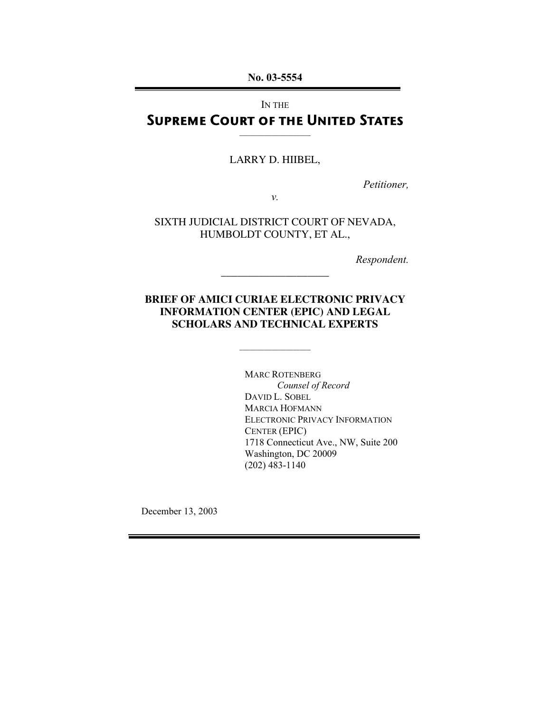No. 03-5554

IN THE

# Supreme Court of the United States \_\_\_\_\_\_\_\_\_\_\_\_\_\_\_\_\_\_\_\_

LARRY D. HIIBEL,

*Petitioner,*

*v.*

SIXTH JUDICIAL DISTRICT COURT OF NEVADA, HUMBOLDT COUNTY, ET AL.,

*Respondent.*

# **BRIEF OF AMICI CURIAE ELECTRONIC PRIVACY INFORMATION CENTER (EPIC) AND LEGAL SCHOLARS AND TECHNICAL EXPERTS**

\_\_\_\_\_\_\_\_\_\_\_\_\_\_\_\_\_\_\_\_

\_\_\_\_\_\_\_\_\_\_\_\_\_\_\_\_\_\_\_\_

MARC ROTENBERG *Counsel of Record* DAVID L. SOBEL MARCIA HOFMANN ELECTRONIC PRIVACY INFORMATION CENTER (EPIC) 1718 Connecticut Ave., NW, Suite 200 Washington, DC 20009 (202) 483-1140

December 13, 2003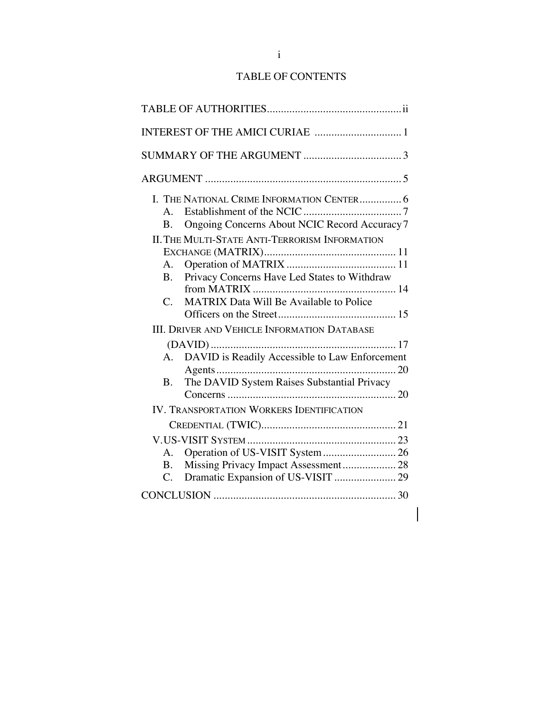# TABLE OF CONTENTS

|                 | I. THE NATIONAL CRIME INFORMATION CENTER 6            |  |
|-----------------|-------------------------------------------------------|--|
| A.              |                                                       |  |
| Β.              | Ongoing Concerns About NCIC Record Accuracy 7         |  |
|                 | <b>II. THE MULTI-STATE ANTI-TERRORISM INFORMATION</b> |  |
|                 |                                                       |  |
| A.              |                                                       |  |
| B.              | Privacy Concerns Have Led States to Withdraw          |  |
|                 |                                                       |  |
| $\mathcal{C}$ . | <b>MATRIX Data Will Be Available to Police</b>        |  |
|                 |                                                       |  |
|                 | <b>III. DRIVER AND VEHICLE INFORMATION DATABASE</b>   |  |
|                 |                                                       |  |
| A.              | DAVID is Readily Accessible to Law Enforcement        |  |
|                 |                                                       |  |
| <b>B.</b>       | The DAVID System Raises Substantial Privacy           |  |
|                 |                                                       |  |
|                 | <b>IV. TRANSPORTATION WORKERS IDENTIFICATION</b>      |  |
|                 |                                                       |  |
|                 |                                                       |  |
| $A_{\cdot}$     |                                                       |  |
| $\mathbf{B}$ .  | Missing Privacy Impact Assessment 28                  |  |
| C.              | Dramatic Expansion of US-VISIT  29                    |  |
|                 |                                                       |  |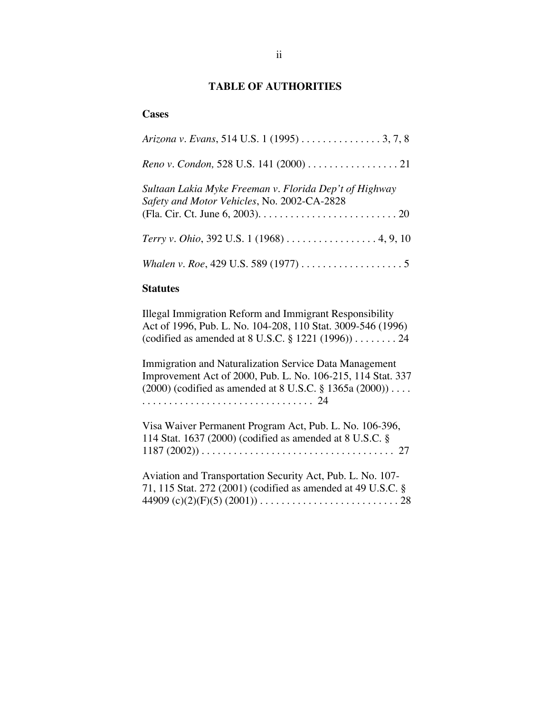## **TABLE OF AUTHORITIES**

#### **Cases**

| Arizona v. Evans, 514 U.S. 1 (1995) 3, 7, 8                                                           |
|-------------------------------------------------------------------------------------------------------|
| Reno v. Condon, 528 U.S. 141 (2000) 21                                                                |
| Sultaan Lakia Myke Freeman v. Florida Dep't of Highway<br>Safety and Motor Vehicles, No. 2002-CA-2828 |
| Terry v. Ohio, 392 U.S. 1 (1968) 4, 9, 10                                                             |
|                                                                                                       |

### **Statutes**

Illegal Immigration Reform and Immigrant Responsibility Act of 1996, Pub. L. No. 104-208, 110 Stat. 3009-546 (1996) (codified as amended at 8 U.S.C. § 1221 (1996)) . . . . . . . . 24

Immigration and Naturalization Service Data Management Improvement Act of 2000, Pub. L. No. 106-215, 114 Stat. 337 (2000) (codified as amended at 8 U.S.C. § 1365a (2000)) . . . . . . . . . . . . . . . . . . . . . . . . . . . . . . . . . . . . 24

| Visa Waiver Permanent Program Act, Pub. L. No. 106-396,<br>114 Stat. 1637 (2000) (codified as amended at $8 \text{ U.S.C. }$ §<br>$1187 (2002)) \ldots \ldots \ldots \ldots \ldots \ldots \ldots \ldots \ldots \ldots \ldots \ldots 27$ |
|-----------------------------------------------------------------------------------------------------------------------------------------------------------------------------------------------------------------------------------------|
| Aviation and Transportation Security Act, Pub. L. No. 107-<br>71, 115 Stat. 272 (2001) (codified as amended at 49 U.S.C. §                                                                                                              |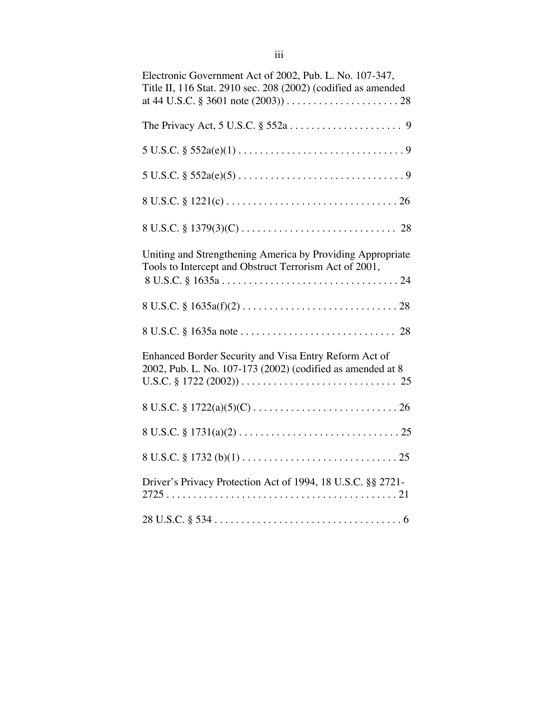| Electronic Government Act of 2002, Pub. L. No. 107-347,<br>Title II, 116 Stat. 2910 sec. 208 (2002) (codified as amended |
|--------------------------------------------------------------------------------------------------------------------------|
|                                                                                                                          |
|                                                                                                                          |
|                                                                                                                          |
| $8 U.S.C. \S 1221(c) \ldots \ldots \ldots \ldots \ldots \ldots \ldots \ldots \ldots \ldots \ldots \ldots 26$             |
|                                                                                                                          |
| Uniting and Strengthening America by Providing Appropriate<br>Tools to Intercept and Obstruct Terrorism Act of 2001,     |
|                                                                                                                          |
|                                                                                                                          |
| Enhanced Border Security and Visa Entry Reform Act of<br>2002, Pub. L. No. 107-173 (2002) (codified as amended at 8      |
|                                                                                                                          |
|                                                                                                                          |
|                                                                                                                          |
| Driver's Privacy Protection Act of 1994, 18 U.S.C. §§ 2721-                                                              |
|                                                                                                                          |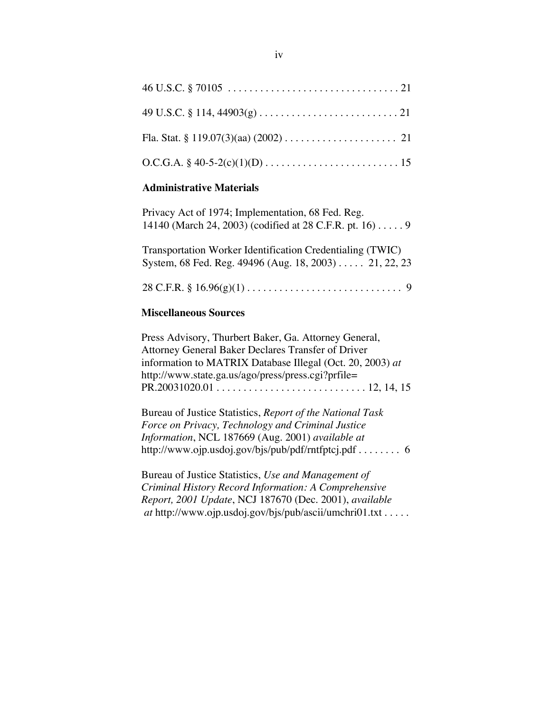#### **Administrative Materials**

| Privacy Act of 1974; Implementation, 68 Fed. Reg.                 |
|-------------------------------------------------------------------|
| 14140 (March 24, 2003) (codified at 28 C.F.R. pt. 16) $\dots$ . 9 |
|                                                                   |
| Transportation Worker Identification Credentialing (TWIC)         |
| System, 68 Fed. Reg. 49496 (Aug. 18, 2003) 21, 22, 23             |
|                                                                   |
|                                                                   |

### **Miscellaneous Sources**

Press Advisory, Thurbert Baker, Ga. Attorney General, Attorney General Baker Declares Transfer of Driver information to MATRIX Database Illegal (Oct. 20, 2003) *at* http://www.state.ga.us/ago/press/press.cgi?prfile= PR.20031020.01 . . . . . . . . . . . . . . . . . . . . . . . . . . . . 12, 14, 15

Bureau of Justice Statistics, *Report of the National Task Force on Privacy, Technology and Criminal Justice Information*, NCL 187669 (Aug. 2001) *available at* http://www.ojp.usdoj.gov/bjs/pub/pdf/rntfptcj.pdf . . . . . . . . 6

Bureau of Justice Statistics, *Use and Management of Criminal History Record Information: A Comprehensive Report, 2001 Update*, NCJ 187670 (Dec. 2001), *available at* http://www.ojp.usdoj.gov/bjs/pub/ascii/umchri01.txt . . . . .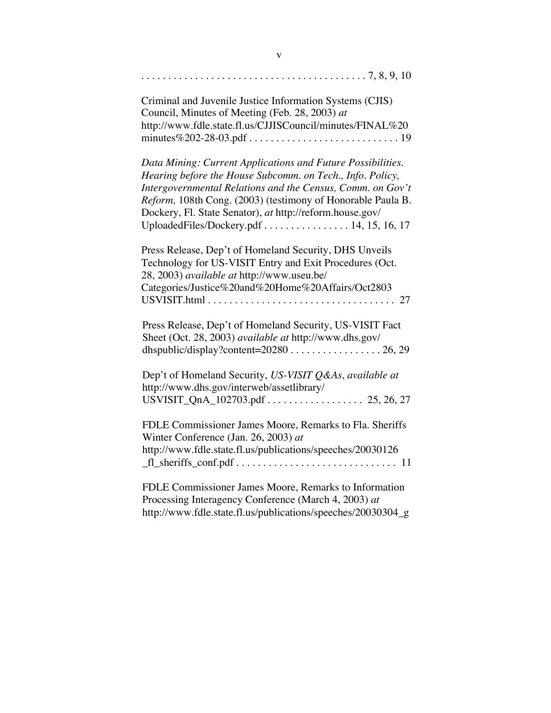| Criminal and Juvenile Justice Information Systems (CJIS)<br>Council, Minutes of Meeting (Feb. 28, 2003) at<br>http://www.fdle.state.fl.us/CJJISCouncil/minutes/FINAL%20                                                                                                                                                                                                |
|------------------------------------------------------------------------------------------------------------------------------------------------------------------------------------------------------------------------------------------------------------------------------------------------------------------------------------------------------------------------|
| Data Mining: Current Applications and Future Possibilities.<br>Hearing before the House Subcomm. on Tech., Info. Policy,<br>Intergovernmental Relations and the Census, Comm. on Gov't<br>Reform, 108th Cong. (2003) (testimony of Honorable Paula B.<br>Dockery, Fl. State Senator), at http://reform.house.gov/<br>UploadedFiles/Dockery.pdf $\ldots$ 14, 15, 16, 17 |
| Press Release, Dep't of Homeland Security, DHS Unveils<br>Technology for US-VISIT Entry and Exit Procedures (Oct.<br>28, 2003) <i>available at</i> http://www.useu.be/<br>Categories/Justice%20and%20Home%20Affairs/Oct2803                                                                                                                                            |
| Press Release, Dep't of Homeland Security, US-VISIT Fact<br>Sheet (Oct. 28, 2003) available at http://www.dhs.gov/                                                                                                                                                                                                                                                     |
| Dep't of Homeland Security, US-VISIT Q&As, available at<br>http://www.dhs.gov/interweb/assetlibrary/<br>USVISIT_QnA_102703.pdf       25, 26, 27                                                                                                                                                                                                                        |
| FDLE Commissioner James Moore, Remarks to Fla. Sheriffs<br>Winter Conference (Jan. 26, 2003) at<br>http://www.fdle.state.fl.us/publications/speeches/20030126                                                                                                                                                                                                          |
| FDLE Commissioner James Moore, Remarks to Information<br>Processing Interagency Conference (March 4, 2003) at<br>http://www.fdle.state.fl.us/publications/speeches/20030304_g                                                                                                                                                                                          |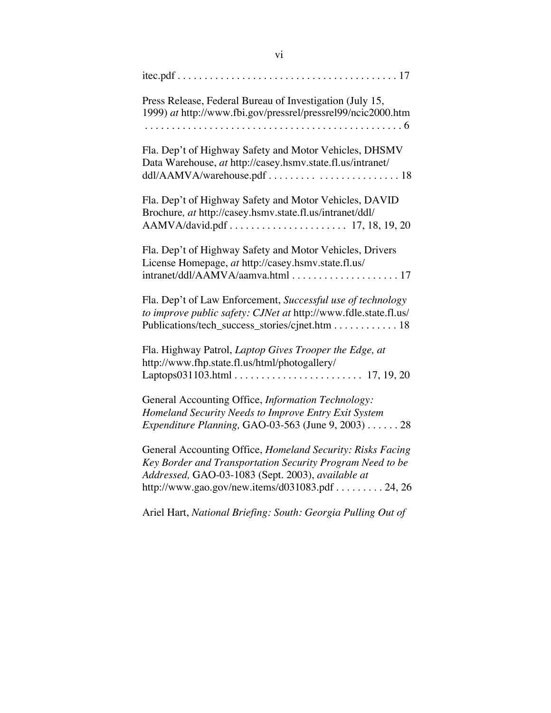| Press Release, Federal Bureau of Investigation (July 15,<br>1999) at http://www.fbi.gov/pressrel/pressrel99/ncic2000.htm<br>$\ldots 6$                                                                                          |
|---------------------------------------------------------------------------------------------------------------------------------------------------------------------------------------------------------------------------------|
| Fla. Dep't of Highway Safety and Motor Vehicles, DHSMV<br>Data Warehouse, at http://casey.hsmv.state.fl.us/intranet/                                                                                                            |
| Fla. Dep't of Highway Safety and Motor Vehicles, DAVID<br>Brochure, at http://casey.hsmv.state.fl.us/intranet/ddl/                                                                                                              |
| Fla. Dep't of Highway Safety and Motor Vehicles, Drivers<br>License Homepage, at http://casey.hsmv.state.fl.us/                                                                                                                 |
| Fla. Dep't of Law Enforcement, Successful use of technology<br>to improve public safety: CJNet at http://www.fdle.state.fl.us/<br>Publications/tech_success_stories/cjnet.htm 18                                                |
| Fla. Highway Patrol, Laptop Gives Trooper the Edge, at<br>http://www.fhp.state.fl.us/html/photogallery/                                                                                                                         |
| General Accounting Office, Information Technology:<br>Homeland Security Needs to Improve Entry Exit System<br>Expenditure Planning, GAO-03-563 (June 9, 2003) 28                                                                |
| General Accounting Office, Homeland Security: Risks Facing<br>Key Border and Transportation Security Program Need to be<br>Addressed, GAO-03-1083 (Sept. 2003), available at<br>http://www.gao.gov/new.items/d031083.pdf 24, 26 |
| Ariel Hart, National Briefing: South: Georgia Pulling Out of                                                                                                                                                                    |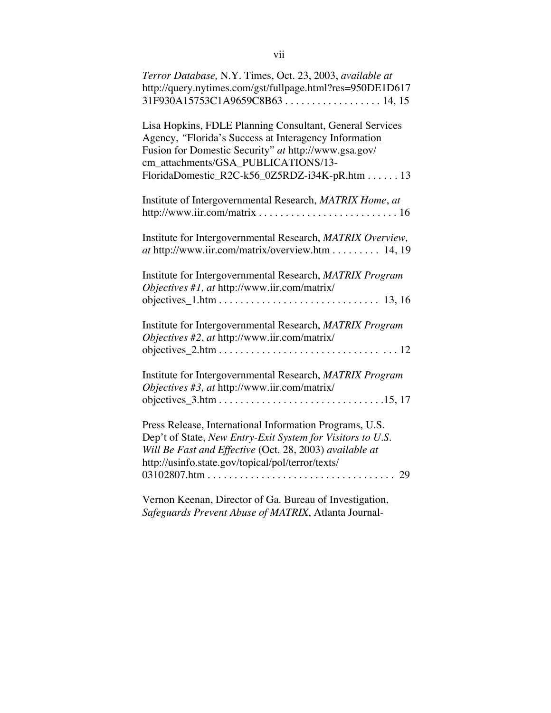| Terror Database, N.Y. Times, Oct. 23, 2003, available at<br>http://query.nytimes.com/gst/fullpage.html?res=950DE1D617<br>31F930A15753C1A9659C8B6314, 15                                                                                                           |
|-------------------------------------------------------------------------------------------------------------------------------------------------------------------------------------------------------------------------------------------------------------------|
| Lisa Hopkins, FDLE Planning Consultant, General Services<br>Agency, "Florida's Success at Interagency Information<br>Fusion for Domestic Security" at http://www.gsa.gov/<br>cm_attachments/GSA_PUBLICATIONS/13-<br>FloridaDomestic_R2C-k56_0Z5RDZ-i34K-pR.htm 13 |
| Institute of Intergovernmental Research, MATRIX Home, at                                                                                                                                                                                                          |
| Institute for Intergovernmental Research, MATRIX Overview,<br>at http://www.iir.com/matrix/overview.htm 14, 19                                                                                                                                                    |
| Institute for Intergovernmental Research, MATRIX Program<br>Objectives #1, at http://www.iir.com/matrix/                                                                                                                                                          |
| Institute for Intergovernmental Research, MATRIX Program<br>Objectives #2, at http://www.iir.com/matrix/<br>objectives $2.htm \ldots \ldots \ldots \ldots \ldots \ldots \ldots \ldots \ldots \ldots \ldots 12$                                                    |
| Institute for Intergovernmental Research, MATRIX Program<br>Objectives #3, at http://www.iir.com/matrix/                                                                                                                                                          |
| Press Release, International Information Programs, U.S.<br>Dep't of State, New Entry-Exit System for Visitors to U.S.<br>Will Be Fast and Effective (Oct. 28, 2003) available at<br>http://usinfo.state.gov/topical/pol/terror/texts/                             |
| Vernon Keenan, Director of Ga. Bureau of Investigation,                                                                                                                                                                                                           |

*Safeguards Prevent Abuse of MATRIX*, Atlanta Journal-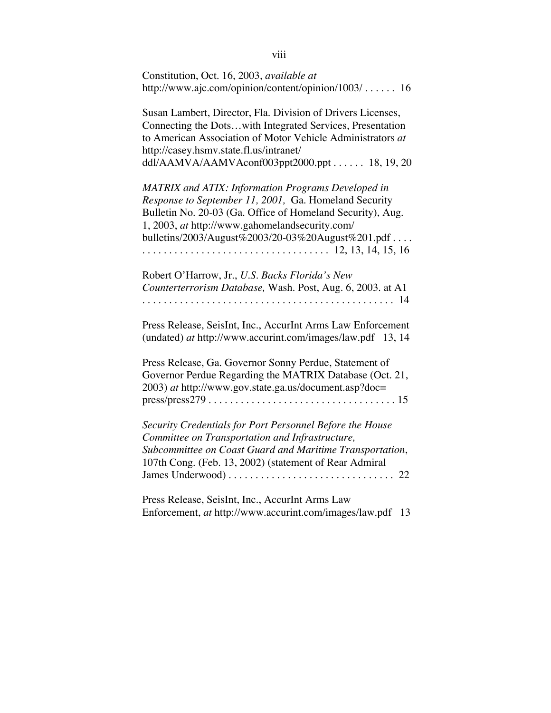| Constitution, Oct. 16, 2003, available at<br>http://www.ajc.com/opinion/content/opinion/1003/  16                                                                                                                                                                                       |
|-----------------------------------------------------------------------------------------------------------------------------------------------------------------------------------------------------------------------------------------------------------------------------------------|
| Susan Lambert, Director, Fla. Division of Drivers Licenses,<br>Connecting the Dotswith Integrated Services, Presentation<br>to American Association of Motor Vehicle Administrators at<br>http://casey.hsmv.state.fl.us/intranet/<br>ddl/AAMVA/AAMVAconf003ppt2000.ppt 18, 19, 20       |
| <b>MATRIX</b> and ATIX: Information Programs Developed in<br>Response to September 11, 2001, Ga. Homeland Security<br>Bulletin No. 20-03 (Ga. Office of Homeland Security), Aug.<br>1, 2003, at http://www.gahomelandsecurity.com/<br>bulletins/2003/August%2003/20-03%20August%201.pdf |
| Robert O'Harrow, Jr., U.S. Backs Florida's New<br>Counterterrorism Database, Wash. Post, Aug. 6, 2003. at A1                                                                                                                                                                            |
| Press Release, SeisInt, Inc., AccurInt Arms Law Enforcement<br>(undated) at http://www.accurint.com/images/law.pdf 13, 14                                                                                                                                                               |
| Press Release, Ga. Governor Sonny Perdue, Statement of<br>Governor Perdue Regarding the MATRIX Database (Oct. 21,<br>2003) at http://www.gov.state.ga.us/document.asp?doc=<br>$press/press279 \ldots \ldots \ldots \ldots \ldots \ldots \ldots \ldots \ldots \ldots \ldots 15$          |
| Security Credentials for Port Personnel Before the House<br>Committee on Transportation and Infrastructure,<br>Subcommittee on Coast Guard and Maritime Transportation,<br>107th Cong. (Feb. 13, 2002) (statement of Rear Admiral                                                       |
| Press Release, SeisInt, Inc., AccurInt Arms Law<br>Enforcement, at http://www.accurint.com/images/law.pdf<br>13                                                                                                                                                                         |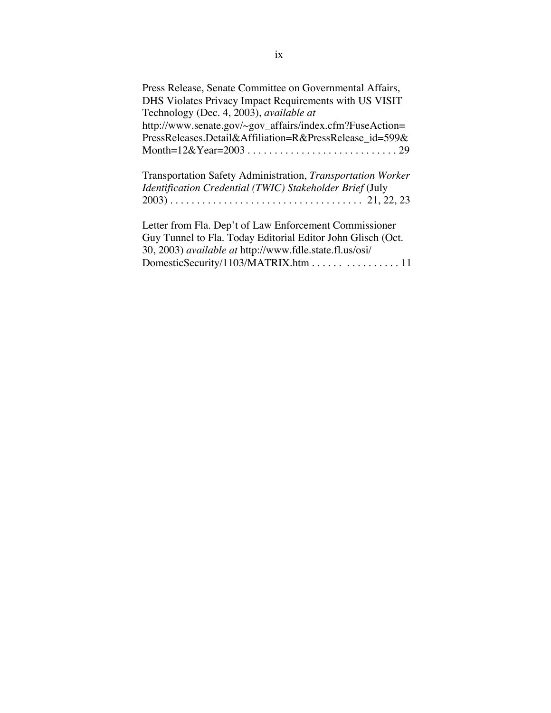| Press Release, Senate Committee on Governmental Affairs,    |
|-------------------------------------------------------------|
| DHS Violates Privacy Impact Requirements with US VISIT      |
| Technology (Dec. 4, 2003), available at                     |
| http://www.senate.gov/~gov_affairs/index.cfm?FuseAction=    |
| PressReleases.Detail&Affiliation=R&PressRelease id=599&     |
|                                                             |
| Transportation Safety Administration, Transportation Worker |
| Identification Credential (TWIC) Stakeholder Brief (July    |
|                                                             |
|                                                             |

Letter from Fla. Dep't of Law Enforcement Commissioner Guy Tunnel to Fla. Today Editorial Editor John Glisch (Oct. 30, 2003) *available at* http://www.fdle.state.fl.us/osi/ DomesticSecurity/1103/MATRIX.htm . . . . . . . . . . . . . . . . . 11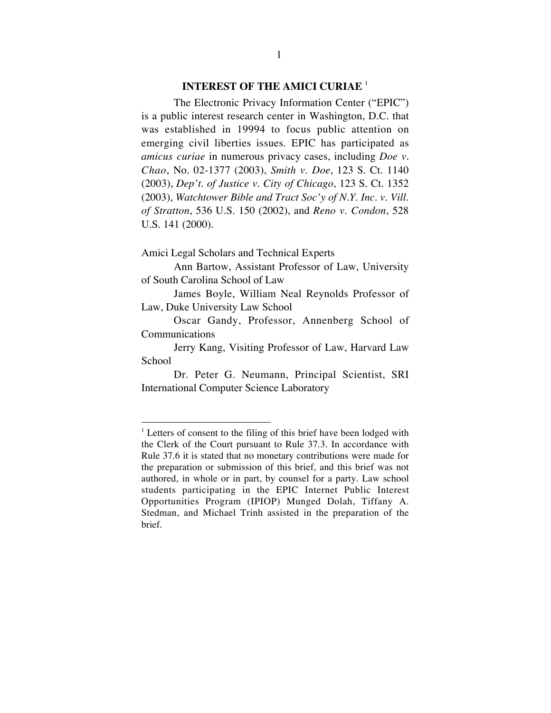### **INTEREST OF THE AMICI CURIAE** <sup>1</sup>

The Electronic Privacy Information Center ("EPIC") is a public interest research center in Washington, D.C. that was established in 19994 to focus public attention on emerging civil liberties issues. EPIC has participated as *amicus curiae* in numerous privacy cases, including *Doe v. Chao*, No. 02-1377 (2003), *Smith v. Doe*, 123 S. Ct. 1140 (2003), *Dep't. of Justice v. City of Chicago*, 123 S. Ct. 1352 (2003), *Watchtower Bible and Tract Soc'y of N.Y. Inc. v. Vill. of Stratton*, 536 U.S. 150 (2002), and *Reno v. Condon*, 528 U.S. 141 (2000).

Amici Legal Scholars and Technical Experts

Ann Bartow, Assistant Professor of Law, University of South Carolina School of Law

James Boyle, William Neal Reynolds Professor of Law, Duke University Law School

Oscar Gandy, Professor, Annenberg School of Communications

Jerry Kang, Visiting Professor of Law, Harvard Law School

Dr. Peter G. Neumann, Principal Scientist, SRI International Computer Science Laboratory

<sup>&</sup>lt;sup>1</sup> Letters of consent to the filing of this brief have been lodged with the Clerk of the Court pursuant to Rule 37.3. In accordance with Rule 37.6 it is stated that no monetary contributions were made for the preparation or submission of this brief, and this brief was not authored, in whole or in part, by counsel for a party. Law school students participating in the EPIC Internet Public Interest Opportunities Program (IPIOP) Munged Dolah, Tiffany A. Stedman, and Michael Trinh assisted in the preparation of the brief.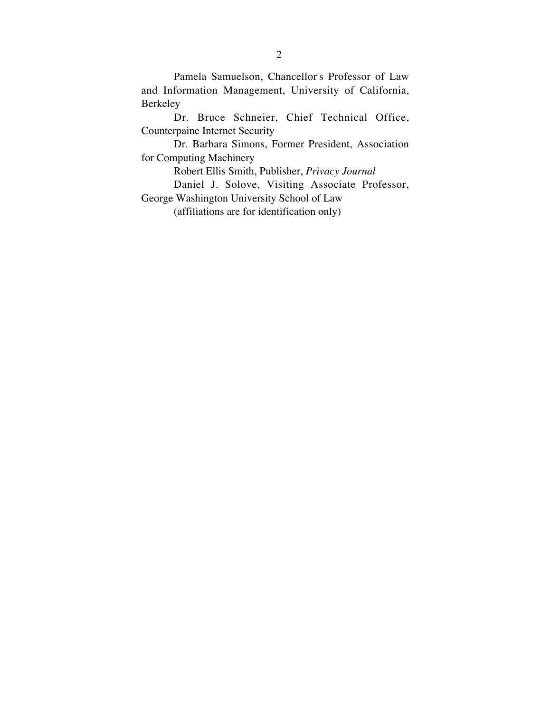Pamela Samuelson, Chancellor's Professor of Law and Information Management, University of California, Berkeley

Dr. Bruce Schneier, Chief Technical Office, Counterpaine Internet Security

Dr. Barbara Simons, Former President, Association for Computing Machinery

Robert Ellis Smith, Publisher, *Privacy Journal*

Daniel J. Solove, Visiting Associate Professor, George Washington University School of Law

(affiliations are for identification only)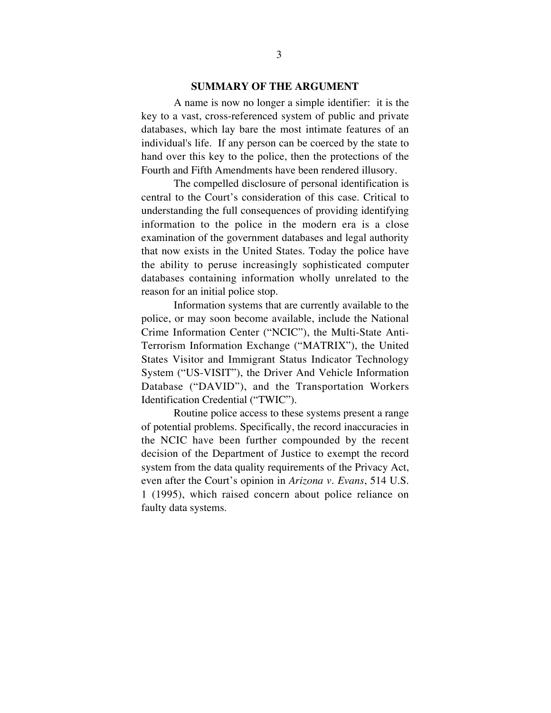#### **SUMMARY OF THE ARGUMENT**

A name is now no longer a simple identifier: it is the key to a vast, cross-referenced system of public and private databases, which lay bare the most intimate features of an individual's life. If any person can be coerced by the state to hand over this key to the police, then the protections of the Fourth and Fifth Amendments have been rendered illusory.

The compelled disclosure of personal identification is central to the Court's consideration of this case. Critical to understanding the full consequences of providing identifying information to the police in the modern era is a close examination of the government databases and legal authority that now exists in the United States. Today the police have the ability to peruse increasingly sophisticated computer databases containing information wholly unrelated to the reason for an initial police stop.

Information systems that are currently available to the police, or may soon become available, include the National Crime Information Center ("NCIC"), the Multi-State Anti-Terrorism Information Exchange ("MATRIX"), the United States Visitor and Immigrant Status Indicator Technology System ("US-VISIT"), the Driver And Vehicle Information Database ("DAVID"), and the Transportation Workers Identification Credential ("TWIC").

Routine police access to these systems present a range of potential problems. Specifically, the record inaccuracies in the NCIC have been further compounded by the recent decision of the Department of Justice to exempt the record system from the data quality requirements of the Privacy Act, even after the Court's opinion in *Arizona v. Evans*, 514 U.S. 1 (1995), which raised concern about police reliance on faulty data systems.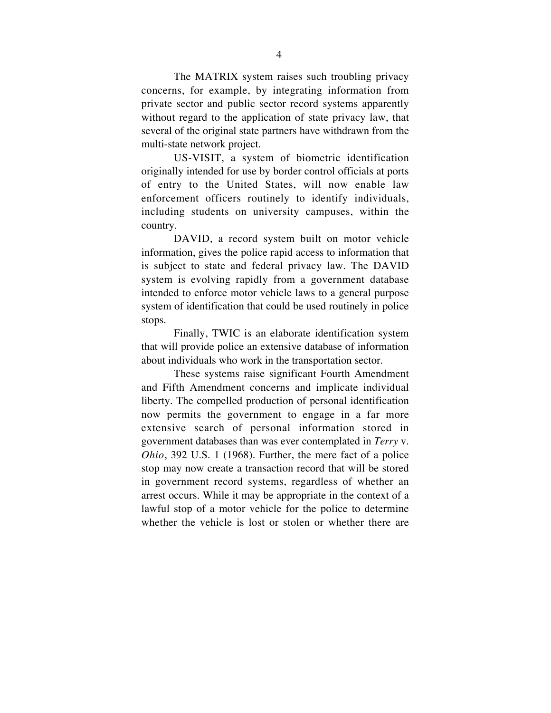The MATRIX system raises such troubling privacy concerns, for example, by integrating information from private sector and public sector record systems apparently without regard to the application of state privacy law, that several of the original state partners have withdrawn from the multi-state network project.

US-VISIT, a system of biometric identification originally intended for use by border control officials at ports of entry to the United States, will now enable law enforcement officers routinely to identify individuals, including students on university campuses, within the country.

DAVID, a record system built on motor vehicle information, gives the police rapid access to information that is subject to state and federal privacy law. The DAVID system is evolving rapidly from a government database intended to enforce motor vehicle laws to a general purpose system of identification that could be used routinely in police stops.

Finally, TWIC is an elaborate identification system that will provide police an extensive database of information about individuals who work in the transportation sector.

These systems raise significant Fourth Amendment and Fifth Amendment concerns and implicate individual liberty. The compelled production of personal identification now permits the government to engage in a far more extensive search of personal information stored in government databases than was ever contemplated in *Terry* v. *Ohio*, 392 U.S. 1 (1968). Further, the mere fact of a police stop may now create a transaction record that will be stored in government record systems, regardless of whether an arrest occurs. While it may be appropriate in the context of a lawful stop of a motor vehicle for the police to determine whether the vehicle is lost or stolen or whether there are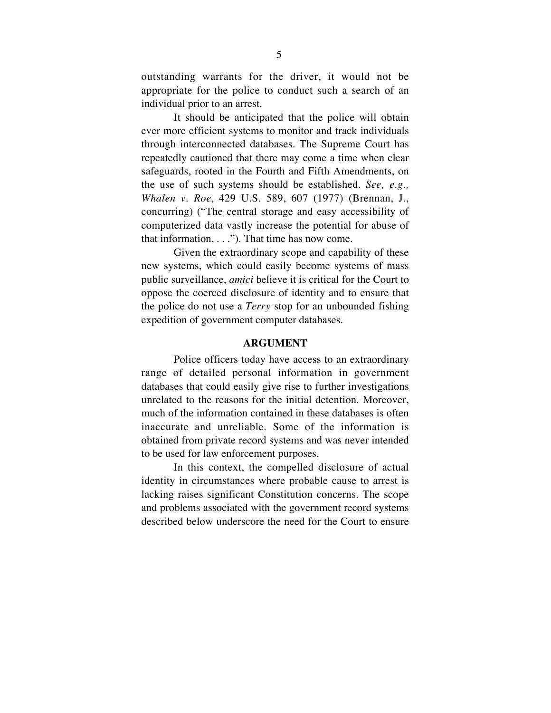outstanding warrants for the driver, it would not be appropriate for the police to conduct such a search of an individual prior to an arrest.

It should be anticipated that the police will obtain ever more efficient systems to monitor and track individuals through interconnected databases. The Supreme Court has repeatedly cautioned that there may come a time when clear safeguards, rooted in the Fourth and Fifth Amendments, on the use of such systems should be established. *See, e.g., Whalen v. Roe*, 429 U.S. 589, 607 (1977) (Brennan, J., concurring) ("The central storage and easy accessibility of computerized data vastly increase the potential for abuse of that information,  $\dots$ "). That time has now come.

Given the extraordinary scope and capability of these new systems, which could easily become systems of mass public surveillance, *amici* believe it is critical for the Court to oppose the coerced disclosure of identity and to ensure that the police do not use a *Terry* stop for an unbounded fishing expedition of government computer databases.

#### **ARGUMENT**

Police officers today have access to an extraordinary range of detailed personal information in government databases that could easily give rise to further investigations unrelated to the reasons for the initial detention. Moreover, much of the information contained in these databases is often inaccurate and unreliable. Some of the information is obtained from private record systems and was never intended to be used for law enforcement purposes.

In this context, the compelled disclosure of actual identity in circumstances where probable cause to arrest is lacking raises significant Constitution concerns. The scope and problems associated with the government record systems described below underscore the need for the Court to ensure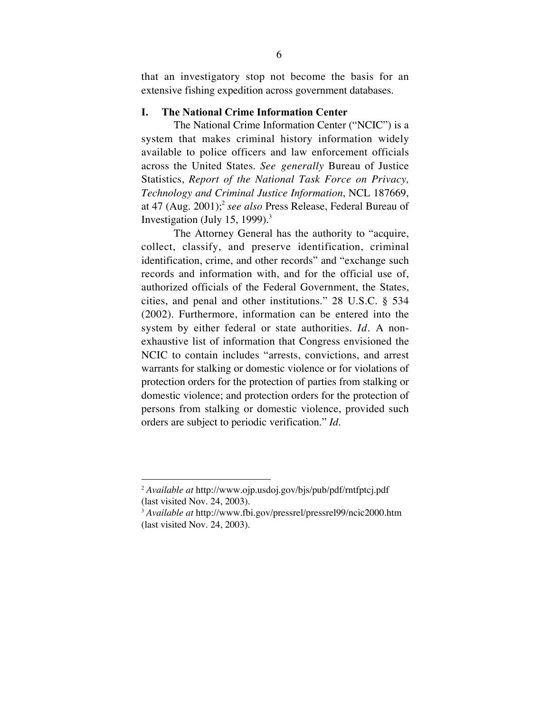that an investigatory stop not become the basis for an extensive fishing expedition across government databases.

#### I. The National Crime Information Center

The National Crime Information Center ("NCIC") is a system that makes criminal history information widely available to police officers and law enforcement officials across the United States. *See generally* Bureau of Justice Statistics, *Report of the National Task Force on Privacy, Technology and Criminal Justice Information*, NCL 187669, at 47 (Aug. 2001); <sup>2</sup> *see also* Press Release, Federal Bureau of Investigation (July 15, 1999).<sup>3</sup>

The Attorney General has the authority to "acquire, collect, classify, and preserve identification, criminal identification, crime, and other records" and "exchange such records and information with, and for the official use of, authorized officials of the Federal Government, the States, cities, and penal and other institutions." 28 U.S.C. § 534 (2002). Furthermore, information can be entered into the system by either federal or state authorities. *Id.* A nonexhaustive list of information that Congress envisioned the NCIC to contain includes "arrests, convictions, and arrest warrants for stalking or domestic violence or for violations of protection orders for the protection of parties from stalking or domestic violence; and protection orders for the protection of persons from stalking or domestic violence, provided such orders are subject to periodic verification." *Id.*

 <sup>2</sup> *Available at* http://www.ojp.usdoj.gov/bjs/pub/pdf/rntfptcj.pdf (last visited Nov. 24, 2003).

<sup>&</sup>lt;sup>3</sup> *Available at* http://www.fbi.gov/pressrel/pressrel99/ncic2000.htm (last visited Nov. 24, 2003).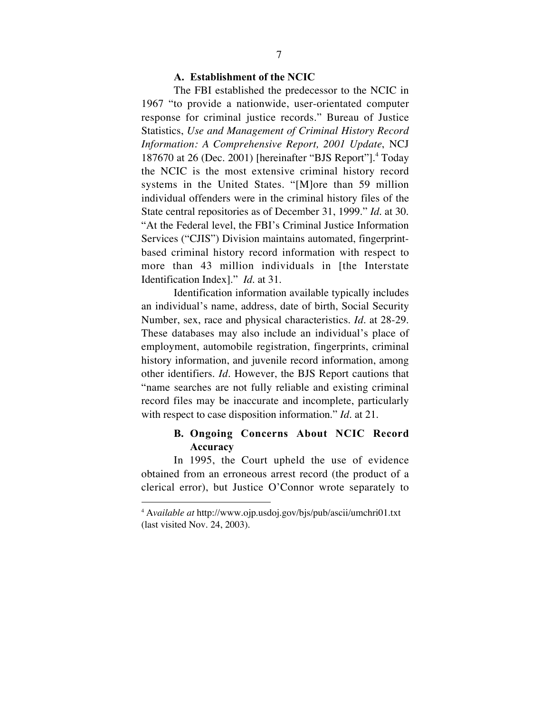#### A. Establishment of the NCIC

The FBI established the predecessor to the NCIC in 1967 "to provide a nationwide, user-orientated computer response for criminal justice records." Bureau of Justice Statistics, *Use and Management of Criminal History Record Information: A Comprehensive Report, 2001 Update*, NCJ 187670 at 26 (Dec. 2001) [hereinafter "BJS Report"]. <sup>4</sup> Today the NCIC is the most extensive criminal history record systems in the United States. "[M]ore than 59 million individual offenders were in the criminal history files of the State central repositories as of December 31, 1999." *Id.* at 30. "At the Federal level, the FBI's Criminal Justice Information Services ("CJIS") Division maintains automated, fingerprintbased criminal history record information with respect to more than 43 million individuals in [the Interstate Identification Index]." *Id.* at 31.

Identification information available typically includes an individual's name, address, date of birth, Social Security Number, sex, race and physical characteristics. *Id*. at 28-29. These databases may also include an individual's place of employment, automobile registration, fingerprints, criminal history information, and juvenile record information, among other identifiers. *Id.* However, the BJS Report cautions that "name searches are not fully reliable and existing criminal record files may be inaccurate and incomplete, particularly with respect to case disposition information." *Id*. at 21*.*

# B. Ongoing Concerns About NCIC Record Accuracy

In 1995, the Court upheld the use of evidence obtained from an erroneous arrest record (the product of a clerical error), but Justice O'Connor wrote separately to

 <sup>4</sup> <sup>A</sup>*vailable at* http://www.ojp.usdoj.gov/bjs/pub/ascii/umchri01.txt (last visited Nov. 24, 2003).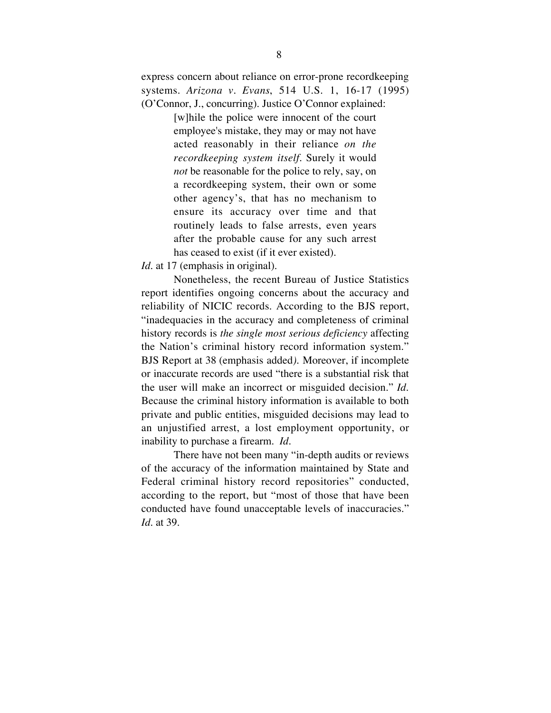express concern about reliance on error-prone recordkeeping systems. *Arizona v. Evans*, 514 U.S. 1, 16-17 (1995) (O'Connor, J., concurring). Justice O'Connor explained:

> [w]hile the police were innocent of the court employee's mistake, they may or may not have acted reasonably in their reliance *on the recordkeeping system itself*. Surely it would *not* be reasonable for the police to rely, say, on a recordkeeping system, their own or some other agency's, that has no mechanism to ensure its accuracy over time and that routinely leads to false arrests, even years after the probable cause for any such arrest has ceased to exist (if it ever existed).

*Id.* at 17 (emphasis in original).

Nonetheless, the recent Bureau of Justice Statistics report identifies ongoing concerns about the accuracy and reliability of NICIC records. According to the BJS report, "inadequacies in the accuracy and completeness of criminal history records is *the single most serious deficiency* affecting the Nation's criminal history record information system." BJS Report at 38 (emphasis added*).* Moreover, if incomplete or inaccurate records are used "there is a substantial risk that the user will make an incorrect or misguided decision." *Id.* Because the criminal history information is available to both private and public entities, misguided decisions may lead to an unjustified arrest, a lost employment opportunity, or inability to purchase a firearm. *Id.*

There have not been many "in-depth audits or reviews of the accuracy of the information maintained by State and Federal criminal history record repositories" conducted, according to the report, but "most of those that have been conducted have found unacceptable levels of inaccuracies." *Id.* at 39.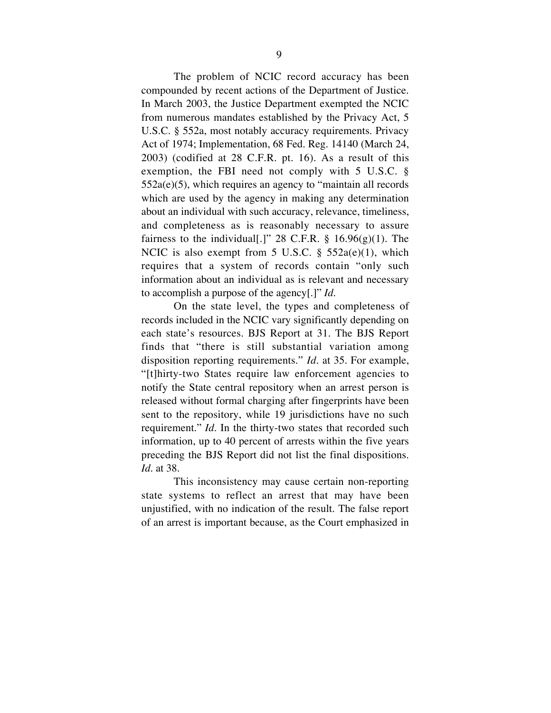The problem of NCIC record accuracy has been compounded by recent actions of the Department of Justice. In March 2003, the Justice Department exempted the NCIC from numerous mandates established by the Privacy Act, 5 U.S.C. § 552a, most notably accuracy requirements. Privacy Act of 1974; Implementation, 68 Fed. Reg. 14140 (March 24, 2003) (codified at 28 C.F.R. pt. 16). As a result of this exemption, the FBI need not comply with 5 U.S.C. § 552a(e)(5), which requires an agency to "maintain all records which are used by the agency in making any determination about an individual with such accuracy, relevance, timeliness, and completeness as is reasonably necessary to assure fairness to the individual[.]" 28 C.F.R.  $\S$  16.96(g)(1). The NCIC is also exempt from 5 U.S.C.  $\S$  552a(e)(1), which requires that a system of records contain "only such information about an individual as is relevant and necessary to accomplish a purpose of the agency[.]" *Id*.

On the state level, the types and completeness of records included in the NCIC vary significantly depending on each state's resources. BJS Report at 31. The BJS Report finds that "there is still substantial variation among disposition reporting requirements." *Id.* at 35. For example, "[t]hirty-two States require law enforcement agencies to notify the State central repository when an arrest person is released without formal charging after fingerprints have been sent to the repository, while 19 jurisdictions have no such requirement." *Id.* In the thirty-two states that recorded such information, up to 40 percent of arrests within the five years preceding the BJS Report did not list the final dispositions. *Id.* at 38.

This inconsistency may cause certain non-reporting state systems to reflect an arrest that may have been unjustified, with no indication of the result. The false report of an arrest is important because, as the Court emphasized in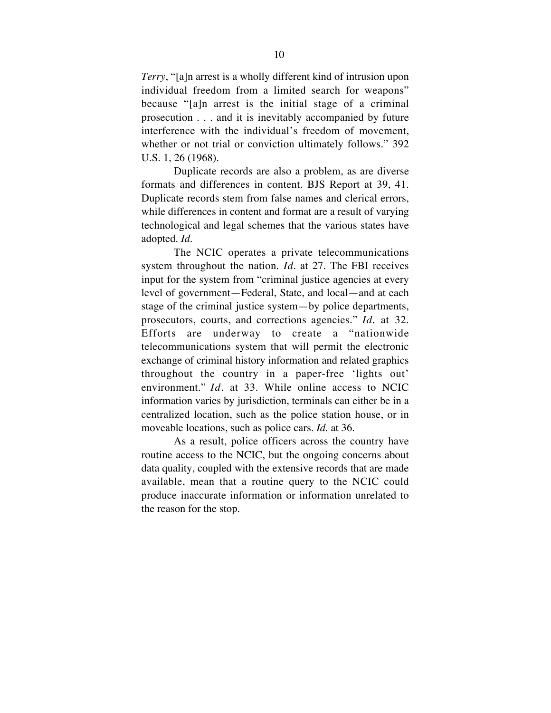*Terry*, "[a]n arrest is a wholly different kind of intrusion upon individual freedom from a limited search for weapons" because "[a]n arrest is the initial stage of a criminal prosecution . . . and it is inevitably accompanied by future interference with the individual's freedom of movement, whether or not trial or conviction ultimately follows." 392 U.S. 1, 26 (1968).

Duplicate records are also a problem, as are diverse formats and differences in content. BJS Report at 39, 41. Duplicate records stem from false names and clerical errors, while differences in content and format are a result of varying technological and legal schemes that the various states have adopted. *Id.*

The NCIC operates a private telecommunications system throughout the nation. *Id*. at 27. The FBI receives input for the system from "criminal justice agencies at every level of government—Federal, State, and local—and at each stage of the criminal justice system—by police departments, prosecutors, courts, and corrections agencies." *Id*. at 32. Efforts are underway to create a "nationwide telecommunications system that will permit the electronic exchange of criminal history information and related graphics throughout the country in a paper-free 'lights out' environment." *Id*. at 33. While online access to NCIC information varies by jurisdiction, terminals can either be in a centralized location, such as the police station house, or in moveable locations, such as police cars. *Id.* at 36.

As a result, police officers across the country have routine access to the NCIC, but the ongoing concerns about data quality, coupled with the extensive records that are made available, mean that a routine query to the NCIC could produce inaccurate information or information unrelated to the reason for the stop.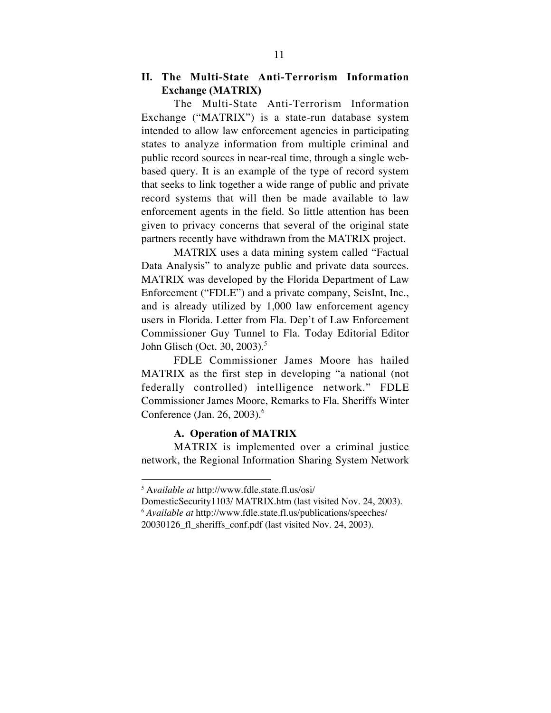# II. The Multi-State Anti-Terrorism Information Exchange (MATRIX)

The Multi-State Anti-Terrorism Information Exchange ("MATRIX") is a state-run database system intended to allow law enforcement agencies in participating states to analyze information from multiple criminal and public record sources in near-real time, through a single webbased query. It is an example of the type of record system that seeks to link together a wide range of public and private record systems that will then be made available to law enforcement agents in the field. So little attention has been given to privacy concerns that several of the original state partners recently have withdrawn from the MATRIX project.

MATRIX uses a data mining system called "Factual Data Analysis" to analyze public and private data sources. MATRIX was developed by the Florida Department of Law Enforcement ("FDLE") and a private company, SeisInt, Inc., and is already utilized by 1,000 law enforcement agency users in Florida. Letter from Fla. Dep't of Law Enforcement Commissioner Guy Tunnel to Fla. Today Editorial Editor John Glisch (Oct. 30, 2003). 5

FDLE Commissioner James Moore has hailed MATRIX as the first step in developing "a national (not federally controlled) intelligence network." FDLE Commissioner James Moore, Remarks to Fla. Sheriffs Winter Conference (Jan. 26, 2003). 6

### A. Operation of MATRIX

MATRIX is implemented over a criminal justice network, the Regional Information Sharing System Network

 <sup>5</sup> <sup>A</sup>*vailable at* http://www.fdle.state.fl.us/osi/

DomesticSecurity1103/ MATRIX.htm (last visited Nov. 24, 2003). <sup>6</sup> *Available at* http://www.fdle.state.fl.us/publications/speeches/ 20030126\_fl\_sheriffs\_conf.pdf (last visited Nov. 24, 2003).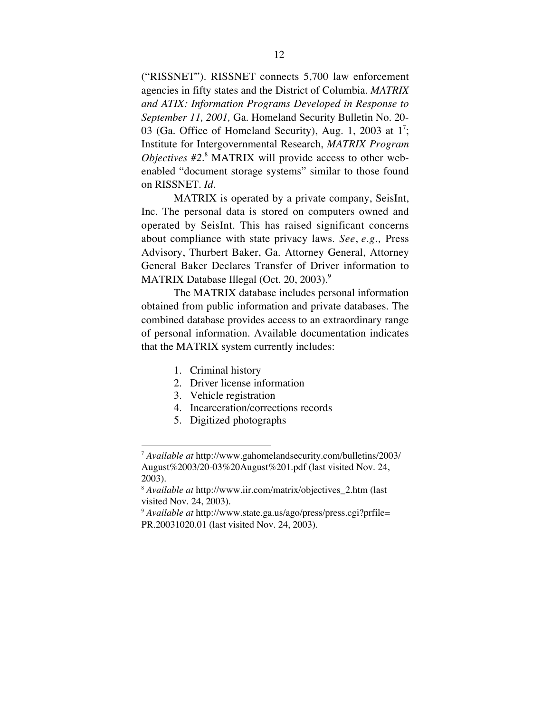("RISSNET"). RISSNET connects 5,700 law enforcement agencies in fifty states and the District of Columbia. *MATRIX and ATIX: Information Programs Developed in Response to September 11, 2001,* Ga. Homeland Security Bulletin No. 20- 03 (Ga. Office of Homeland Security), Aug. 1, 2003 at 1<sup>7</sup>; Institute for Intergovernmental Research, *MATRIX Program Objectives #2*. <sup>8</sup> MATRIX will provide access to other webenabled "document storage systems" similar to those found on RISSNET. *Id.*

MATRIX is operated by a private company, SeisInt, Inc. The personal data is stored on computers owned and operated by SeisInt. This has raised significant concerns about compliance with state privacy laws. *See*, *e.g.,* Press Advisory, Thurbert Baker, Ga. Attorney General, Attorney General Baker Declares Transfer of Driver information to MATRIX Database Illegal (Oct. 20, 2003). 9

The MATRIX database includes personal information obtained from public information and private databases. The combined database provides access to an extraordinary range of personal information. Available documentation indicates that the MATRIX system currently includes:

- 1. Criminal history
- 2. Driver license information
- 3. Vehicle registration
- 4. Incarceration/corrections records
- 5. Digitized photographs

 <sup>7</sup> *Available at* http://www.gahomelandsecurity.com/bulletins/2003/ August%2003/20-03%20August%201.pdf (last visited Nov. 24, 2003).

<sup>8</sup> *Available at* http://www.iir.com/matrix/objectives\_2.htm (last visited Nov. 24, 2003).

<sup>9</sup> *Available at* http://www.state.ga.us/ago/press/press.cgi?prfile= PR.20031020.01 (last visited Nov. 24, 2003).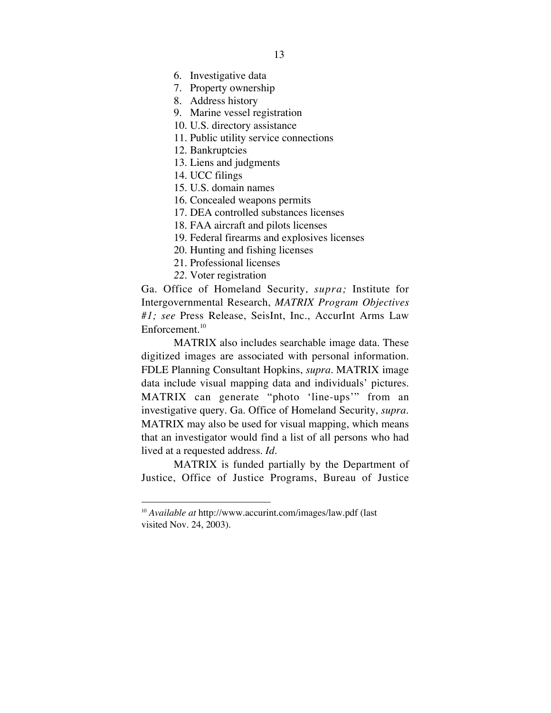6. Investigative data

- 7. Property ownership
- 8. Address history
- 9. Marine vessel registration
- 10. U.S. directory assistance
- 11. Public utility service connections
- 12. Bankruptcies
- 13. Liens and judgments
- 14. UCC filings
- 15. U.S. domain names
- 16. Concealed weapons permits
- 17. DEA controlled substances licenses
- 18. FAA aircraft and pilots licenses
- 19. Federal firearms and explosives licenses
- 20. Hunting and fishing licenses
- 21. Professional licenses
- *22.* Voter registration

Ga. Office of Homeland Security, *supra;* Institute for Intergovernmental Research, *MATRIX Program Objectives #1; see* Press Release, SeisInt, Inc., AccurInt Arms Law Enforcement.<sup>10</sup>

MATRIX also includes searchable image data. These digitized images are associated with personal information. FDLE Planning Consultant Hopkins, *supra*. MATRIX image data include visual mapping data and individuals' pictures. MATRIX can generate "photo 'line-ups'" from an investigative query. Ga. Office of Homeland Security, *supra*. MATRIX may also be used for visual mapping, which means that an investigator would find a list of all persons who had lived at a requested address. *Id*.

MATRIX is funded partially by the Department of Justice, Office of Justice Programs, Bureau of Justice

 <sup>10</sup> *Available at* http://www.accurint.com/images/law.pdf (last visited Nov. 24, 2003).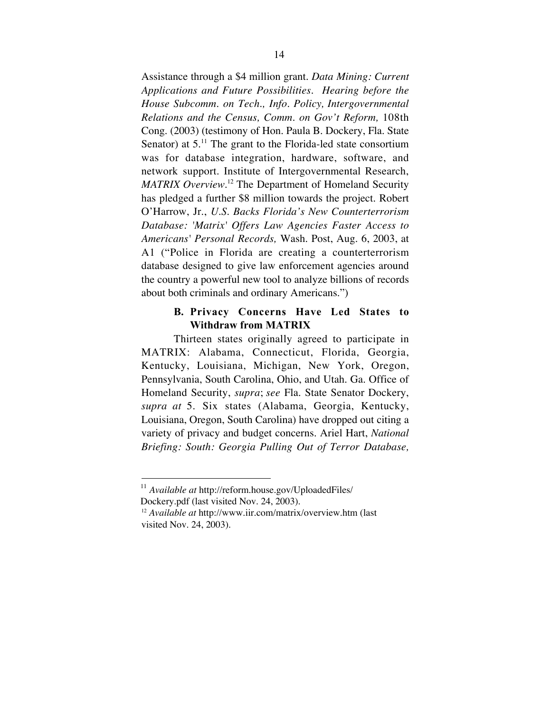Assistance through a \$4 million grant. *Data Mining: Current Applications and Future Possibilities. Hearing before the House Subcomm. on Tech., Info. Policy, Intergovernmental Relations and the Census, Comm. on Gov't Reform,* 108th Cong. (2003) (testimony of Hon. Paula B. Dockery, Fla. State Senator) at  $5.^{11}$ . The grant to the Florida-led state consortium was for database integration, hardware, software, and network support. Institute of Intergovernmental Research, *MATRIX Overview.* <sup>12</sup> The Department of Homeland Security has pledged a further \$8 million towards the project. Robert O'Harrow, Jr., *U.S. Backs Florida's New Counterterrorism Database: 'Matrix' Offers Law Agencies Faster Access to Americans' Personal Records,* Wash. Post, Aug. 6, 2003, at A1 ("Police in Florida are creating a counterterrorism database designed to give law enforcement agencies around the country a powerful new tool to analyze billions of records about both criminals and ordinary Americans.")

# B. Privacy Concerns Have Led States to Withdraw from MATRIX

Thirteen states originally agreed to participate in MATRIX: Alabama, Connecticut, Florida, Georgia, Kentucky, Louisiana, Michigan, New York, Oregon, Pennsylvania, South Carolina, Ohio, and Utah. Ga. Office of Homeland Security, *supra*; *see* Fla. State Senator Dockery, *supra at* 5. Six states (Alabama, Georgia, Kentucky, Louisiana, Oregon, South Carolina) have dropped out citing a variety of privacy and budget concerns. Ariel Hart, *National Briefing: South: Georgia Pulling Out of Terror Database,*

 <sup>11</sup> *Available at* http://reform.house.gov/UploadedFiles/ Dockery.pdf (last visited Nov. 24, 2003).

<sup>12</sup>  *Available at* http://www.iir.com/matrix/overview.htm (last visited Nov. 24, 2003).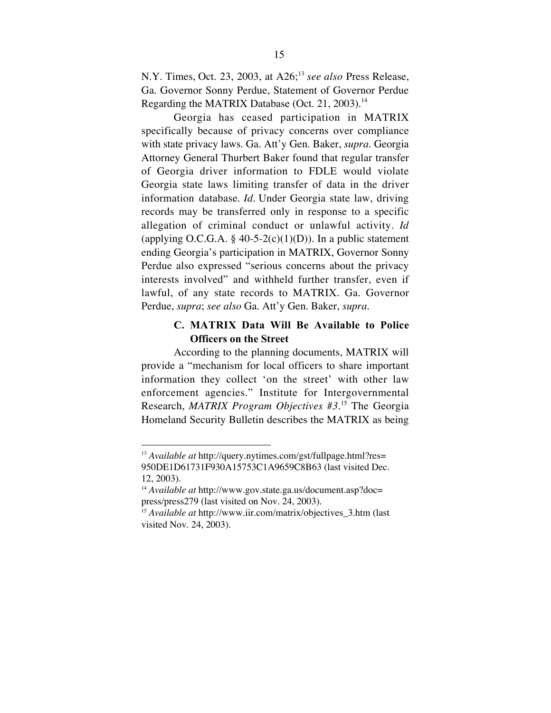N.Y. Times, Oct. 23, 2003, at A26;<sup>13</sup> *see also* Press Release, Ga. Governor Sonny Perdue, Statement of Governor Perdue Regarding the MATRIX Database (Oct. 21, 2003).<sup>14</sup>

Georgia has ceased participation in MATRIX specifically because of privacy concerns over compliance with state privacy laws. Ga. Att'y Gen. Baker, *supra.* Georgia Attorney General Thurbert Baker found that regular transfer of Georgia driver information to FDLE would violate Georgia state laws limiting transfer of data in the driver information database. *Id*. Under Georgia state law, driving records may be transferred only in response to a specific allegation of criminal conduct or unlawful activity. *Id* (applying O.C.G.A. § 40-5-2(c)(1)(D)). In a public statement ending Georgia's participation in MATRIX, Governor Sonny Perdue also expressed "serious concerns about the privacy interests involved" and withheld further transfer, even if lawful, of any state records to MATRIX. Ga. Governor Perdue, *supra*; *see also* Ga. Att'y Gen. Baker, *supra*.

## C. MATRIX Data Will Be Available to Police Officers on the Street

According to the planning documents, MATRIX will provide a "mechanism for local officers to share important information they collect 'on the street' with other law enforcement agencies." Institute for Intergovernmental Research, *MATRIX Program Objectives #3*. <sup>15</sup> The Georgia Homeland Security Bulletin describes the MATRIX as being

 <sup>13</sup> *Available at* http://query.nytimes.com/gst/fullpage.html?res= 950DE1D61731F930A15753C1A9659C8B63 (last visited Dec. 12, 2003).

<sup>14</sup> *Available at* http://www.gov.state.ga.us/document.asp?doc= press/press279 (last visited on Nov. 24, 2003).

<sup>15</sup> *Available at* http://www.iir.com/matrix/objectives\_3.htm (last visited Nov. 24, 2003).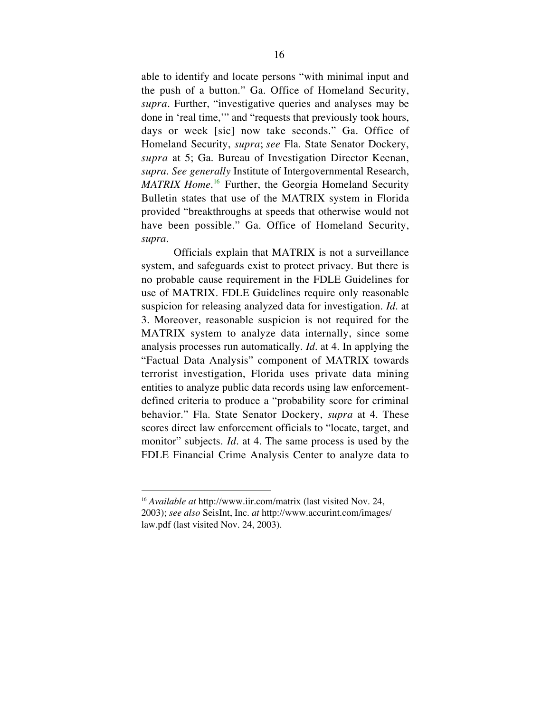able to identify and locate persons "with minimal input and the push of a button." Ga. Office of Homeland Security, *supra.* Further, "investigative queries and analyses may be done in 'real time,'" and "requests that previously took hours, days or week [sic] now take seconds." Ga. Office of Homeland Security, *supra*; *see* Fla. State Senator Dockery, *supra* at 5; Ga. Bureau of Investigation Director Keenan, *supra*. *See generally* Institute of Intergovernmental Research, *MATRIX Home*. <sup>16</sup> Further, the Georgia Homeland Security Bulletin states that use of the MATRIX system in Florida provided "breakthroughs at speeds that otherwise would not have been possible." Ga. Office of Homeland Security, *supra*.

Officials explain that MATRIX is not a surveillance system, and safeguards exist to protect privacy. But there is no probable cause requirement in the FDLE Guidelines for use of MATRIX. FDLE Guidelines require only reasonable suspicion for releasing analyzed data for investigation. *Id.* at 3. Moreover, reasonable suspicion is not required for the MATRIX system to analyze data internally, since some analysis processes run automatically. *Id.* at 4. In applying the "Factual Data Analysis" component of MATRIX towards terrorist investigation, Florida uses private data mining entities to analyze public data records using law enforcementdefined criteria to produce a "probability score for criminal behavior." Fla. State Senator Dockery, *supra* at 4. These scores direct law enforcement officials to "locate, target, and monitor" subjects. *Id.* at 4. The same process is used by the FDLE Financial Crime Analysis Center to analyze data to

 <sup>16</sup> *Available at* http://www.iir.com/matrix (last visited Nov. 24, 2003); *see also* SeisInt, Inc. *at* http://www.accurint.com/images/ law.pdf (last visited Nov. 24, 2003).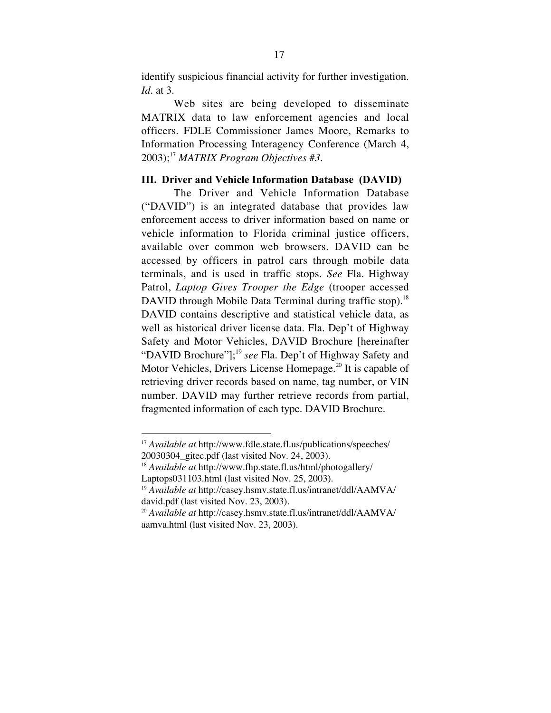identify suspicious financial activity for further investigation. *Id.* at 3.

Web sites are being developed to disseminate MATRIX data to law enforcement agencies and local officers. FDLE Commissioner James Moore, Remarks to Information Processing Interagency Conference (March 4, 2003); <sup>17</sup> *MATRIX Program Objectives #3.*

## III. Driver and Vehicle Information Database (DAVID)

The Driver and Vehicle Information Database ("DAVID") is an integrated database that provides law enforcement access to driver information based on name or vehicle information to Florida criminal justice officers, available over common web browsers. DAVID can be accessed by officers in patrol cars through mobile data terminals, and is used in traffic stops. *See* Fla. Highway Patrol, *Laptop Gives Trooper the Edge* (trooper accessed DAVID through Mobile Data Terminal during traffic stop).<sup>18</sup> DAVID contains descriptive and statistical vehicle data, as well as historical driver license data. Fla. Dep't of Highway Safety and Motor Vehicles, DAVID Brochure [hereinafter "DAVID Brochure"]; <sup>19</sup> *see* Fla. Dep't of Highway Safety and Motor Vehicles, Drivers License Homepage.<sup>20</sup> It is capable of retrieving driver records based on name, tag number, or VIN number. DAVID may further retrieve records from partial, fragmented information of each type. DAVID Brochure*.*

 <sup>17</sup> *Available at* http://www.fdle.state.fl.us/publications/speeches/ 20030304\_gitec.pdf (last visited Nov. 24, 2003).

<sup>18</sup> *Available at* http://www.fhp.state.fl.us/html/photogallery/ Laptops031103.html (last visited Nov. 25, 2003).

<sup>19</sup> *Available at* http://casey.hsmv.state.fl.us/intranet/ddl/AAMVA/ david.pdf (last visited Nov. 23, 2003).

<sup>20</sup> *Available at* http://casey.hsmv.state.fl.us/intranet/ddl/AAMVA/ aamva.html (last visited Nov. 23, 2003).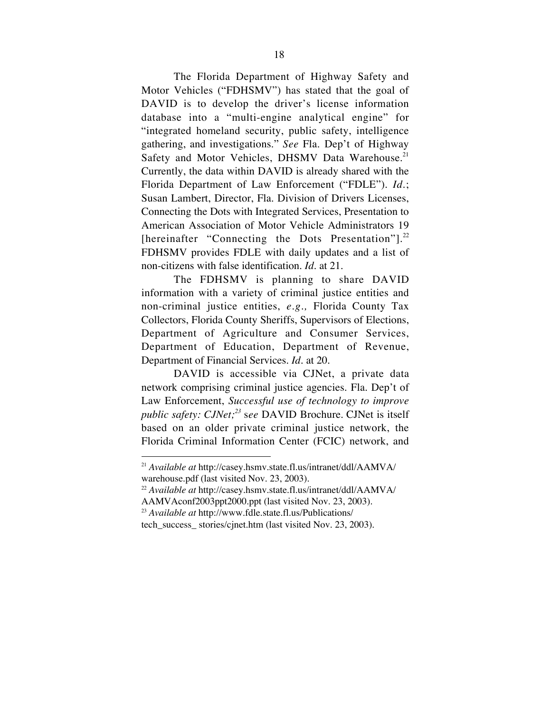The Florida Department of Highway Safety and Motor Vehicles ("FDHSMV") has stated that the goal of DAVID is to develop the driver's license information database into a "multi-engine analytical engine" for "integrated homeland security, public safety, intelligence gathering, and investigations." *See* Fla. Dep't of Highway Safety and Motor Vehicles, DHSMV Data Warehouse.<sup>21</sup> Currently, the data within DAVID is already shared with the Florida Department of Law Enforcement ("FDLE"). *Id*.; Susan Lambert, Director, Fla. Division of Drivers Licenses, Connecting the Dots with Integrated Services, Presentation to American Association of Motor Vehicle Administrators 19 [hereinafter "Connecting the Dots Presentation"].<sup>22</sup> FDHSMV provides FDLE with daily updates and a list of non-citizens with false identification. *Id*. at 21.

The FDHSMV is planning to share DAVID information with a variety of criminal justice entities and non-criminal justice entities, *e.g.,* Florida County Tax Collectors, Florida County Sheriffs, Supervisors of Elections, Department of Agriculture and Consumer Services, Department of Education, Department of Revenue, Department of Financial Services. *Id*. at 20.

DAVID is accessible via CJNet, a private data network comprising criminal justice agencies. Fla. Dep't of Law Enforcement, *Successful use of technology to improve public safety: CJNet; <sup>23</sup>* s*ee* DAVID Brochure*.* CJNet is itself based on an older private criminal justice network, the Florida Criminal Information Center (FCIC) network, and

 <sup>21</sup> *Available at* http://casey.hsmv.state.fl.us/intranet/ddl/AAMVA/ warehouse.pdf (last visited Nov. 23, 2003).

<sup>22</sup> *Available at* http://casey.hsmv.state.fl.us/intranet/ddl/AAMVA/ AAMVAconf2003ppt2000.ppt (last visited Nov. 23, 2003).

<sup>23</sup> *Available at* http://www.fdle.state.fl.us/Publications/

tech\_success\_ stories/cjnet.htm (last visited Nov. 23, 2003).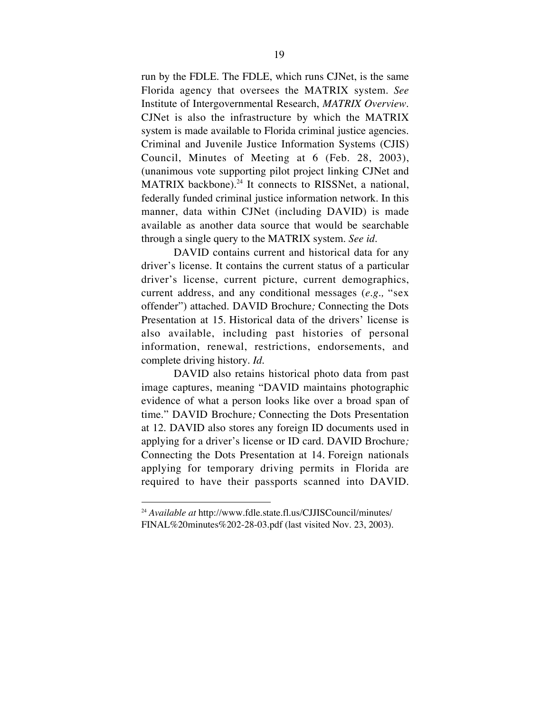run by the FDLE. The FDLE, which runs CJNet, is the same Florida agency that oversees the MATRIX system. *See* Institute of Intergovernmental Research, *MATRIX Overview*. CJNet is also the infrastructure by which the MATRIX system is made available to Florida criminal justice agencies. Criminal and Juvenile Justice Information Systems (CJIS) Council, Minutes of Meeting at 6 (Feb. 28, 2003), (unanimous vote supporting pilot project linking CJNet and MATRIX backbone).<sup>24</sup> It connects to RISSNet, a national, federally funded criminal justice information network. In this manner, data within CJNet (including DAVID) is made available as another data source that would be searchable through a single query to the MATRIX system. *See id*.

DAVID contains current and historical data for any driver's license. It contains the current status of a particular driver's license, current picture, current demographics, current address, and any conditional messages (*e.g.,* "sex offender") attached. DAVID Brochure*;* Connecting the Dots Presentation at 15. Historical data of the drivers' license is also available, including past histories of personal information, renewal, restrictions, endorsements, and complete driving history. *Id.*

DAVID also retains historical photo data from past image captures, meaning "DAVID maintains photographic evidence of what a person looks like over a broad span of time." DAVID Brochure*;* Connecting the Dots Presentation at 12. DAVID also stores any foreign ID documents used in applying for a driver's license or ID card. DAVID Brochure*;* Connecting the Dots Presentation at 14*.* Foreign nationals applying for temporary driving permits in Florida are required to have their passports scanned into DAVID.

 <sup>24</sup> *Available at* http://www.fdle.state.fl.us/CJJISCouncil/minutes/ FINAL%20minutes%202-28-03.pdf (last visited Nov. 23, 2003).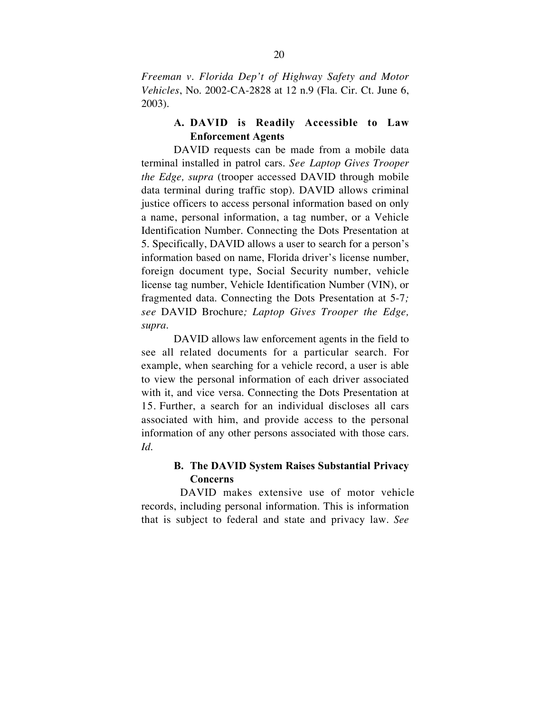*Freeman v. Florida Dep't of Highway Safety and Motor Vehicles*, No. 2002-CA-2828 at 12 n.9 (Fla. Cir. Ct. June 6, 2003)*.*

# A. DAVID is Readily Accessible to Law Enforcement Agents

DAVID requests can be made from a mobile data terminal installed in patrol cars. *See Laptop Gives Trooper the Edge, supra* (trooper accessed DAVID through mobile data terminal during traffic stop). DAVID allows criminal justice officers to access personal information based on only a name, personal information, a tag number, or a Vehicle Identification Number. Connecting the Dots Presentation at 5. Specifically, DAVID allows a user to search for a person's information based on name, Florida driver's license number, foreign document type, Social Security number, vehicle license tag number, Vehicle Identification Number (VIN), or fragmented data. Connecting the Dots Presentation at 5-7*; see* DAVID Brochure*; Laptop Gives Trooper the Edge, supra.*

DAVID allows law enforcement agents in the field to see all related documents for a particular search. For example, when searching for a vehicle record, a user is able to view the personal information of each driver associated with it, and vice versa. Connecting the Dots Presentation at 15*.* Further, a search for an individual discloses all cars associated with him, and provide access to the personal information of any other persons associated with those cars. *Id.*

# B. The DAVID System Raises Substantial Privacy Concerns

DAVID makes extensive use of motor vehicle records, including personal information. This is information that is subject to federal and state and privacy law. *See*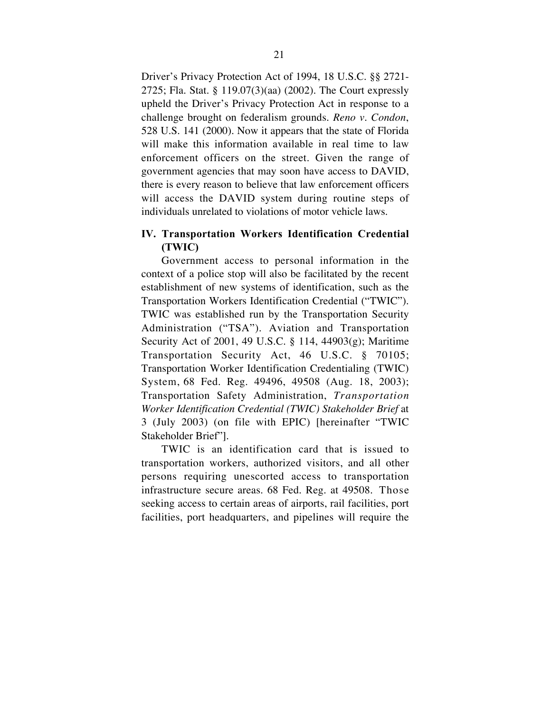Driver's Privacy Protection Act of 1994, 18 U.S.C. §§ 2721- 2725; Fla. Stat. § 119.07(3)(aa) (2002). The Court expressly upheld the Driver's Privacy Protection Act in response to a challenge brought on federalism grounds. *Reno v. Condon*, 528 U.S. 141 (2000). Now it appears that the state of Florida will make this information available in real time to law enforcement officers on the street. Given the range of government agencies that may soon have access to DAVID, there is every reason to believe that law enforcement officers will access the DAVID system during routine steps of individuals unrelated to violations of motor vehicle laws.

# IV. Transportation Workers Identification Credential (TWIC)

Government access to personal information in the context of a police stop will also be facilitated by the recent establishment of new systems of identification, such as the Transportation Workers Identification Credential ("TWIC"). TWIC was established run by the Transportation Security Administration ("TSA"). Aviation and Transportation Security Act of 2001, 49 U.S.C. § 114, 44903(g); Maritime Transportation Security Act, 46 U.S.C. § 70105; Transportation Worker Identification Credentialing (TWIC) System, 68 Fed. Reg. 49496, 49508 (Aug. 18, 2003); Transportation Safety Administration, *Transportation Worker Identification Credential (TWIC) Stakeholder Brief* at 3 (July 2003) (on file with EPIC) [hereinafter "TWIC Stakeholder Brief"].

TWIC is an identification card that is issued to transportation workers, authorized visitors, and all other persons requiring unescorted access to transportation infrastructure secure areas. 68 Fed. Reg. at 49508.Those seeking access to certain areas of airports, rail facilities, port facilities, port headquarters, and pipelines will require the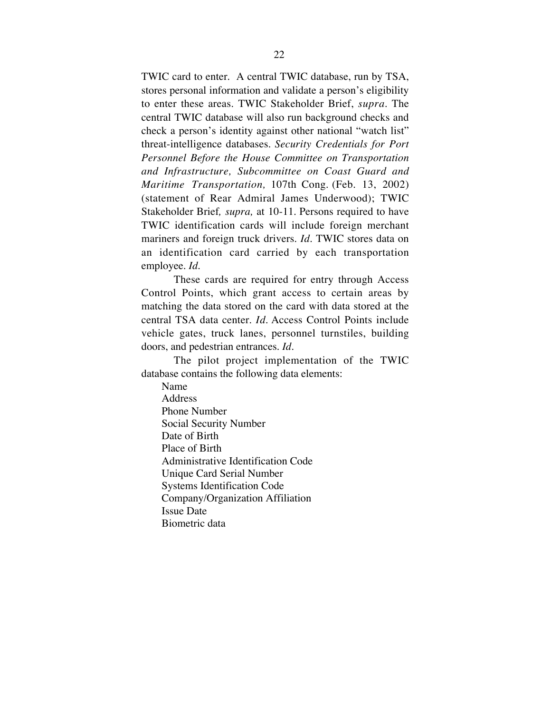TWIC card to enter. A central TWIC database, run by TSA, stores personal information and validate a person's eligibility to enter these areas. TWIC Stakeholder Brief, *supra*. The central TWIC database will also run background checks and check a person's identity against other national "watch list" threat-intelligence databases. *Security Credentials for Port Personnel Before the House Committee on Transportation and Infrastructure, Subcommittee on Coast Guard and Maritime Transportation,* 107th Cong. (Feb. 13, 2002) (statement of Rear Admiral James Underwood); TWIC Stakeholder Brief*, supra,* at 10-11. Persons required to have TWIC identification cards will include foreign merchant mariners and foreign truck drivers. *Id*. TWIC stores data on an identification card carried by each transportation employee. *Id*.

These cards are required for entry through Access Control Points, which grant access to certain areas by matching the data stored on the card with data stored at the central TSA data center. *Id*. Access Control Points include vehicle gates, truck lanes, personnel turnstiles, building doors, and pedestrian entrances. *Id*.

The pilot project implementation of the TWIC database contains the following data elements:

Name Address Phone Number Social Security Number Date of Birth Place of Birth Administrative Identification Code Unique Card Serial Number Systems Identification Code Company/Organization Affiliation Issue Date Biometric data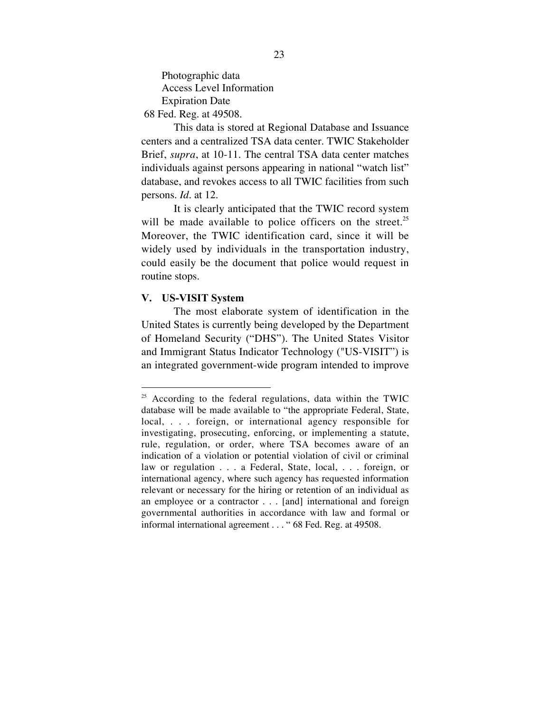Photographic data Access Level Information Expiration Date

68 Fed. Reg. at 49508.

This data is stored at Regional Database and Issuance centers and a centralized TSA data center. TWIC Stakeholder Brief, *supra*, at 10-11. The central TSA data center matches individuals against persons appearing in national "watch list" database, and revokes access to all TWIC facilities from such persons. *Id*. at 12.

It is clearly anticipated that the TWIC record system will be made available to police officers on the street.<sup>25</sup> Moreover, the TWIC identification card, since it will be widely used by individuals in the transportation industry, could easily be the document that police would request in routine stops.

#### V. US-VISIT System

The most elaborate system of identification in the United States is currently being developed by the Department of Homeland Security ("DHS"). The United States Visitor and Immigrant Status Indicator Technology ("US-VISIT") is an integrated government-wide program intended to improve

 $25$  According to the federal regulations, data within the TWIC database will be made available to "the appropriate Federal, State, local, . . . foreign, or international agency responsible for investigating, prosecuting, enforcing, or implementing a statute, rule, regulation, or order, where TSA becomes aware of an indication of a violation or potential violation of civil or criminal law or regulation . . . a Federal, State, local, . . . foreign, or international agency, where such agency has requested information relevant or necessary for the hiring or retention of an individual as an employee or a contractor . . . [and] international and foreign governmental authorities in accordance with law and formal or informal international agreement . . . " 68 Fed. Reg. at 49508.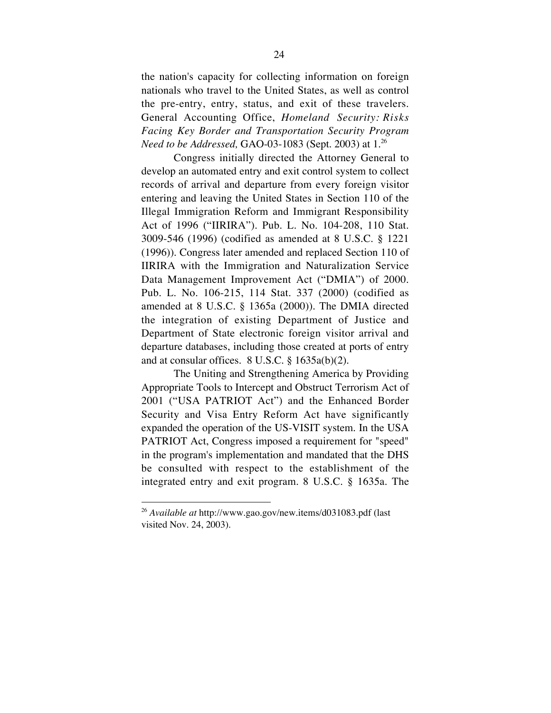the nation's capacity for collecting information on foreign nationals who travel to the United States, as well as control the pre-entry, entry, status, and exit of these travelers. General Accounting Office, *Homeland Security: Risks Facing Key Border and Transportation Security Program Need to be Addressed, GAO-03-1083 (Sept. 2003)* at 1.<sup>26</sup>

Congress initially directed the Attorney General to develop an automated entry and exit control system to collect records of arrival and departure from every foreign visitor entering and leaving the United States in Section 110 of the Illegal Immigration Reform and Immigrant Responsibility Act of 1996 ("IIRIRA"). Pub. L. No. 104-208, 110 Stat. 3009-546 (1996) (codified as amended at 8 U.S.C. § 1221 (1996)). Congress later amended and replaced Section 110 of IIRIRA with the Immigration and Naturalization Service Data Management Improvement Act ("DMIA") of 2000. Pub. L. No. 106-215, 114 Stat. 337 (2000) (codified as amended at 8 U.S.C. § 1365a (2000)). The DMIA directed the integration of existing Department of Justice and Department of State electronic foreign visitor arrival and departure databases, including those created at ports of entry and at consular offices. 8 U.S.C. § 1635a(b)(2).

The Uniting and Strengthening America by Providing Appropriate Tools to Intercept and Obstruct Terrorism Act of 2001 ("USA PATRIOT Act") and the Enhanced Border Security and Visa Entry Reform Act have significantly expanded the operation of the US-VISIT system. In the USA PATRIOT Act, Congress imposed a requirement for "speed" in the program's implementation and mandated that the DHS be consulted with respect to the establishment of the integrated entry and exit program. 8 U.S.C. § 1635a. The

 <sup>26</sup> *Available at* http://www.gao.gov/new.items/d031083.pdf (last visited Nov. 24, 2003).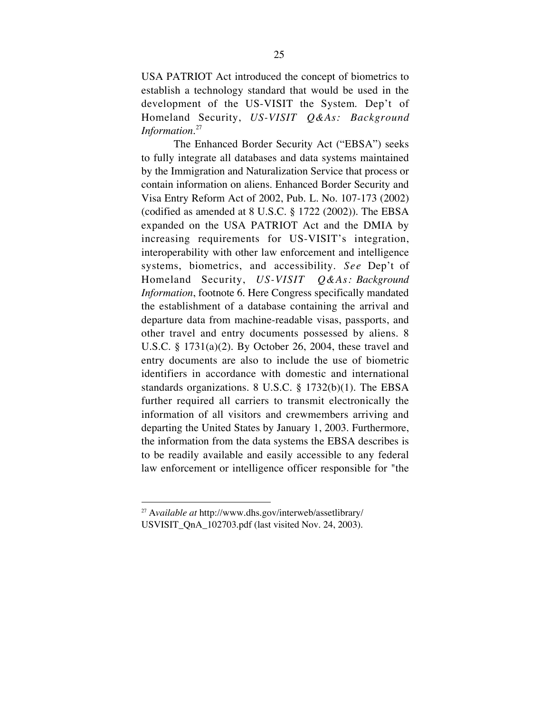USA PATRIOT Act introduced the concept of biometrics to establish a technology standard that would be used in the development of the US-VISIT the System. Dep't of Homeland Security, *US-VISIT Q&As: Background Information*. 27

The Enhanced Border Security Act ("EBSA") seeks to fully integrate all databases and data systems maintained by the Immigration and Naturalization Service that process or contain information on aliens. Enhanced Border Security and Visa Entry Reform Act of 2002, Pub. L. No. 107-173 (2002) (codified as amended at 8 U.S.C. § 1722 (2002)). The EBSA expanded on the USA PATRIOT Act and the DMIA by increasing requirements for US-VISIT's integration, interoperability with other law enforcement and intelligence systems, biometrics, and accessibility. *See* Dep't of Homeland Security, *US-VISIT Q&As: Background Information*, footnote 6. Here Congress specifically mandated the establishment of a database containing the arrival and departure data from machine-readable visas, passports, and other travel and entry documents possessed by aliens. 8 U.S.C. § 1731(a)(2). By October 26, 2004, these travel and entry documents are also to include the use of biometric identifiers in accordance with domestic and international standards organizations. 8 U.S.C. § 1732(b)(1). The EBSA further required all carriers to transmit electronically the information of all visitors and crewmembers arriving and departing the United States by January 1, 2003. Furthermore, the information from the data systems the EBSA describes is to be readily available and easily accessible to any federal law enforcement or intelligence officer responsible for "the

 <sup>27</sup> <sup>A</sup>*vailable at* http://www.dhs.gov/interweb/assetlibrary/ USVISIT\_QnA\_102703.pdf (last visited Nov. 24, 2003).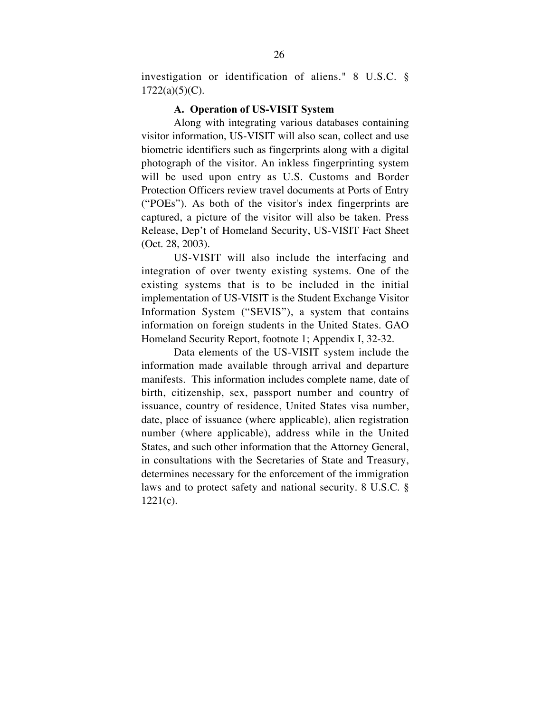investigation or identification of aliens." 8 U.S.C. §  $1722(a)(5)(C)$ .

#### A. Operation of US-VISIT System

Along with integrating various databases containing visitor information, US-VISIT will also scan, collect and use biometric identifiers such as fingerprints along with a digital photograph of the visitor. An inkless fingerprinting system will be used upon entry as U.S. Customs and Border Protection Officers review travel documents at Ports of Entry ("POEs"). As both of the visitor's index fingerprints are captured, a picture of the visitor will also be taken. Press Release, Dep't of Homeland Security, US-VISIT Fact Sheet (Oct. 28, 2003).

US-VISIT will also include the interfacing and integration of over twenty existing systems. One of the existing systems that is to be included in the initial implementation of US-VISIT is the Student Exchange Visitor Information System ("SEVIS"), a system that contains information on foreign students in the United States. GAO Homeland Security Report, footnote 1; Appendix I, 32-32.

Data elements of the US-VISIT system include the information made available through arrival and departure manifests. This information includes complete name, date of birth, citizenship, sex, passport number and country of issuance, country of residence, United States visa number, date, place of issuance (where applicable), alien registration number (where applicable), address while in the United States, and such other information that the Attorney General, in consultations with the Secretaries of State and Treasury, determines necessary for the enforcement of the immigration laws and to protect safety and national security. 8 U.S.C. §  $1221(c)$ .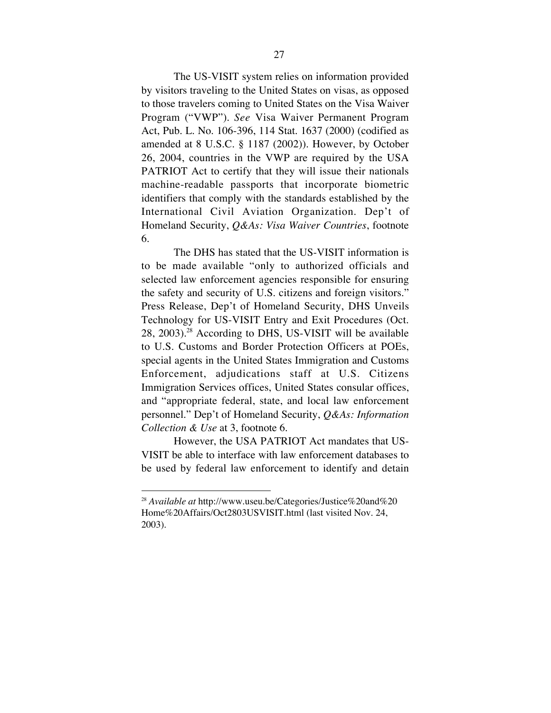The US-VISIT system relies on information provided by visitors traveling to the United States on visas, as opposed to those travelers coming to United States on the Visa Waiver Program ("VWP"). *See* Visa Waiver Permanent Program Act, Pub. L. No. 106-396, 114 Stat. 1637 (2000) (codified as amended at 8 U.S.C. § 1187 (2002)). However, by October 26, 2004, countries in the VWP are required by the USA PATRIOT Act to certify that they will issue their nationals machine-readable passports that incorporate biometric identifiers that comply with the standards established by the International Civil Aviation Organization. Dep't of Homeland Security, *Q&As: Visa Waiver Countries*, footnote 6.

The DHS has stated that the US-VISIT information is to be made available "only to authorized officials and selected law enforcement agencies responsible for ensuring the safety and security of U.S. citizens and foreign visitors." Press Release, Dep't of Homeland Security, DHS Unveils Technology for US-VISIT Entry and Exit Procedures (Oct. 28, 2003). <sup>28</sup> According to DHS, US-VISIT will be available to U.S. Customs and Border Protection Officers at POEs, special agents in the United States Immigration and Customs Enforcement, adjudications staff at U.S. Citizens Immigration Services offices, United States consular offices, and "appropriate federal, state, and local law enforcement personnel." Dep't of Homeland Security, *Q&As: Information Collection & Use* at 3, footnote 6.

However, the USA PATRIOT Act mandates that US-VISIT be able to interface with law enforcement databases to be used by federal law enforcement to identify and detain

 <sup>28</sup> *Available at* http://www.useu.be/Categories/Justice%20and%20 Home%20Affairs/Oct2803USVISIT.html (last visited Nov. 24, 2003).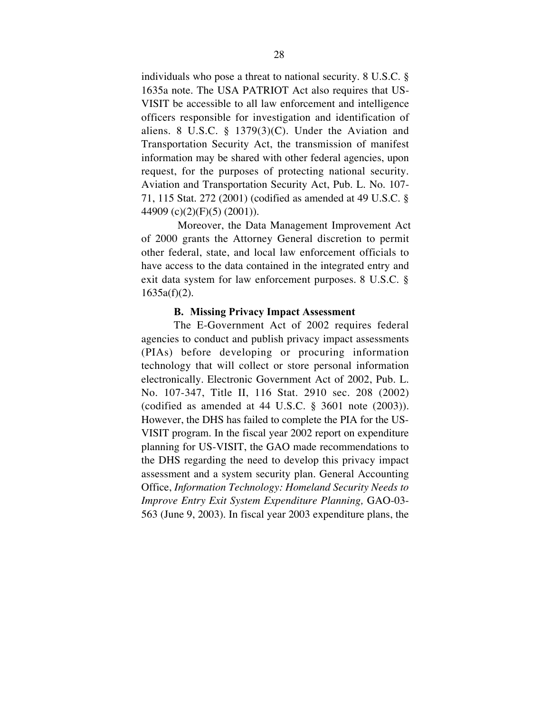individuals who pose a threat to national security. 8 U.S.C. § 1635a note. The USA PATRIOT Act also requires that US-VISIT be accessible to all law enforcement and intelligence officers responsible for investigation and identification of aliens. 8 U.S.C. § 1379 $(3)(C)$ . Under the Aviation and Transportation Security Act, the transmission of manifest information may be shared with other federal agencies, upon request, for the purposes of protecting national security. Aviation and Transportation Security Act, Pub. L. No. 107- 71, 115 Stat. 272 (2001) (codified as amended at 49 U.S.C. § 44909 (c)(2)(F)(5) (2001)).

Moreover, the Data Management Improvement Act of 2000 grants the Attorney General discretion to permit other federal, state, and local law enforcement officials to have access to the data contained in the integrated entry and exit data system for law enforcement purposes. 8 U.S.C. §  $1635a(f)(2)$ .

#### B. Missing Privacy Impact Assessment

The E-Government Act of 2002 requires federal agencies to conduct and publish privacy impact assessments (PIAs) before developing or procuring information technology that will collect or store personal information electronically. Electronic Government Act of 2002, Pub. L. No. 107-347, Title II, 116 Stat. 2910 sec. 208 (2002) (codified as amended at 44 U.S.C. § 3601 note (2003)). However, the DHS has failed to complete the PIA for the US-VISIT program. In the fiscal year 2002 report on expenditure planning for US-VISIT, the GAO made recommendations to the DHS regarding the need to develop this privacy impact assessment and a system security plan. General Accounting Office, *Information Technology: Homeland Security Needs to Improve Entry Exit System Expenditure Planning,* GAO-03- 563 (June 9, 2003). In fiscal year 2003 expenditure plans, the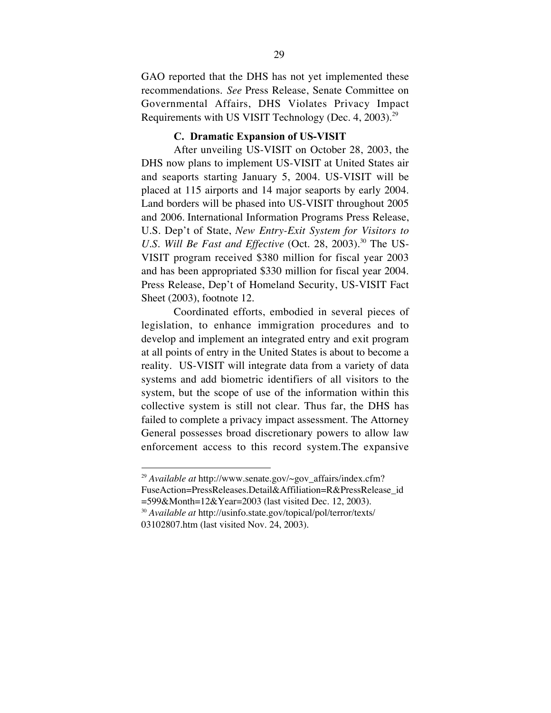GAO reported that the DHS has not yet implemented these recommendations. *See* Press Release, Senate Committee on Governmental Affairs, DHS Violates Privacy Impact Requirements with US VISIT Technology (Dec. 4, 2003).<sup>29</sup>

#### C. Dramatic Expansion of US-VISIT

After unveiling US-VISIT on October 28, 2003, the DHS now plans to implement US-VISIT at United States air and seaports starting January 5, 2004. US-VISIT will be placed at 115 airports and 14 major seaports by early 2004. Land borders will be phased into US-VISIT throughout 2005 and 2006. International Information Programs Press Release, U.S. Dep't of State, *New Entry-Exit System for Visitors to U.S. Will Be Fast and Effective* (Oct. 28, 2003). <sup>30</sup> The US-VISIT program received \$380 million for fiscal year 2003 and has been appropriated \$330 million for fiscal year 2004. Press Release, Dep't of Homeland Security, US-VISIT Fact Sheet (2003), footnote 12.

Coordinated efforts, embodied in several pieces of legislation, to enhance immigration procedures and to develop and implement an integrated entry and exit program at all points of entry in the United States is about to become a reality. US-VISIT will integrate data from a variety of data systems and add biometric identifiers of all visitors to the system, but the scope of use of the information within this collective system is still not clear. Thus far, the DHS has failed to complete a privacy impact assessment. The Attorney General possesses broad discretionary powers to allow law enforcement access to this record system.The expansive

 <sup>29</sup> *Available at* http://www.senate.gov/~gov\_affairs/index.cfm? FuseAction=PressReleases.Detail&Affiliation=R&PressRelease\_id =599&Month=12&Year=2003 (last visited Dec. 12, 2003).

<sup>30</sup> *Available at* http://usinfo.state.gov/topical/pol/terror/texts/ 03102807.htm (last visited Nov. 24, 2003).